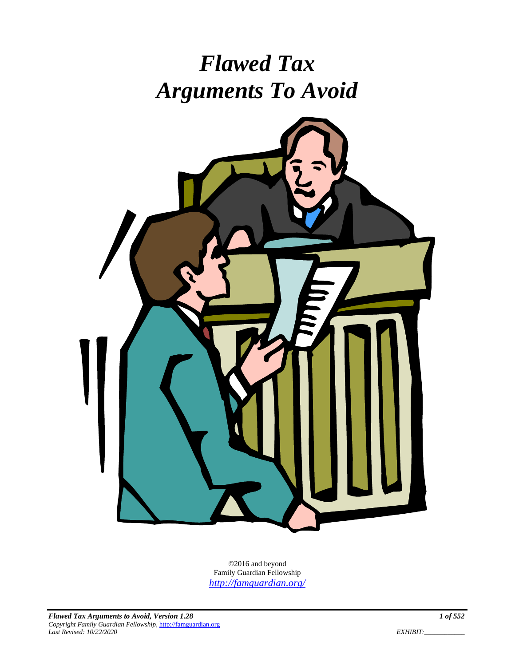# *Flawed Tax Arguments To Avoid*



©2016 and beyond Family Guardian Fellowship *http://famguardian.org/*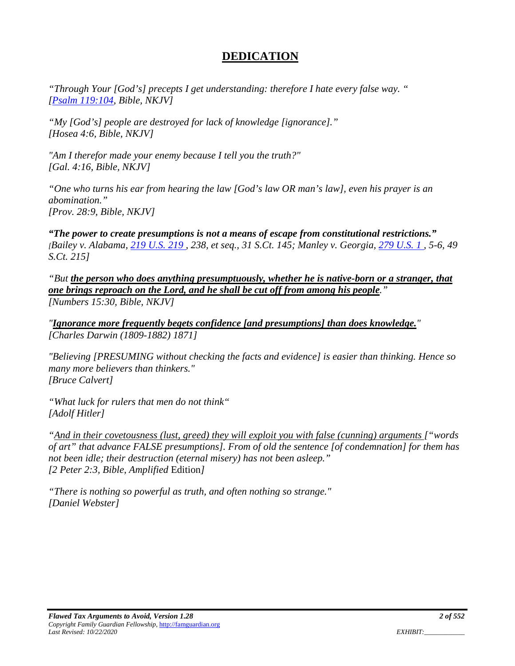# **DEDICATION**

*"Through Your [God's] precepts I get understanding: therefore I hate every false way. " [Psalm 119:104, Bible, NKJV]* 

*"My [God's] people are destroyed for lack of knowledge [ignorance]." [Hosea 4:6, Bible, NKJV]* 

*"Am I therefor made your enemy because I tell you the truth?" [Gal. 4:16, Bible, NKJV]* 

*"One who turns his ear from hearing the law [God's law OR man's law], even his prayer is an abomination." [Prov. 28:9, Bible, NKJV]* 

*"The power to create presumptions is not a means of escape from constitutional restrictions." [Bailey v. Alabama, 219 U.S. 219 , 238, et seq., 31 S.Ct. 145; Manley v. Georgia, 279 U.S. 1 , 5-6, 49 S.Ct. 215]* 

*"But the person who does anything presumptuously, whether he is native-born or a stranger, that one brings reproach on the Lord, and he shall be cut off from among his people." [Numbers 15:30, Bible, NKJV]* 

*"Ignorance more frequently begets confidence [and presumptions] than does knowledge." [Charles Darwin (1809-1882) 1871]* 

*"Believing [PRESUMING without checking the facts and evidence] is easier than thinking. Hence so many more believers than thinkers." [Bruce Calvert]* 

*"What luck for rulers that men do not think" [Adolf Hitler]* 

*"And in their covetousness (lust, greed) they will exploit you with false (cunning) arguments ["words of art" that advance FALSE presumptions]. From of old the sentence [of condemnation] for them has not been idle; their destruction (eternal misery) has not been asleep." [2 Peter 2:3, Bible, Amplified* Edition*]* 

*"There is nothing so powerful as truth, and often nothing so strange." [Daniel Webster]*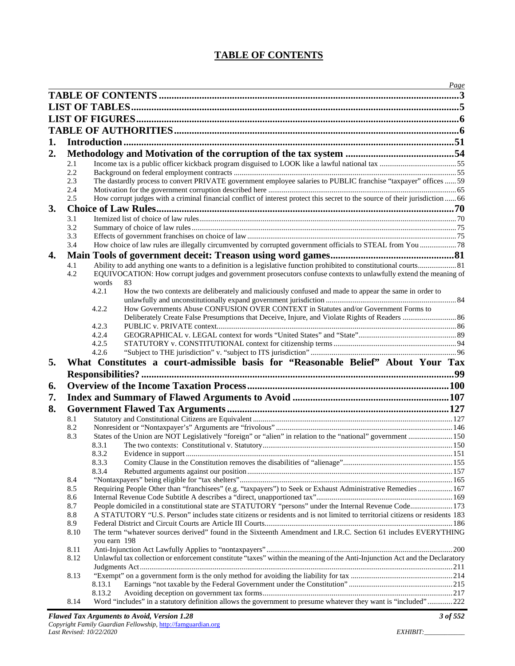## **TABLE OF CONTENTS**

|    |            | <u>Page</u>                                                                                                                                                                                                                          |  |
|----|------------|--------------------------------------------------------------------------------------------------------------------------------------------------------------------------------------------------------------------------------------|--|
|    |            |                                                                                                                                                                                                                                      |  |
|    |            |                                                                                                                                                                                                                                      |  |
|    |            |                                                                                                                                                                                                                                      |  |
|    |            |                                                                                                                                                                                                                                      |  |
|    |            |                                                                                                                                                                                                                                      |  |
| 1. |            |                                                                                                                                                                                                                                      |  |
| 2. |            |                                                                                                                                                                                                                                      |  |
|    | 2.1        |                                                                                                                                                                                                                                      |  |
|    | 2.2        |                                                                                                                                                                                                                                      |  |
|    | 2.3        | The dastardly process to convert PRIVATE government employee salaries to PUBLIC franchise "taxpayer" offices  59                                                                                                                     |  |
|    | 2.4        |                                                                                                                                                                                                                                      |  |
|    | 2.5        | How corrupt judges with a criminal financial conflict of interest protect this secret to the source of their jurisdiction  66                                                                                                        |  |
| 3. |            |                                                                                                                                                                                                                                      |  |
|    | 3.1        |                                                                                                                                                                                                                                      |  |
|    | 3.2        |                                                                                                                                                                                                                                      |  |
|    | 3.3        |                                                                                                                                                                                                                                      |  |
|    | 3.4        | How choice of law rules are illegally circumvented by corrupted government officials to STEAL from You  78                                                                                                                           |  |
| 4. |            |                                                                                                                                                                                                                                      |  |
|    | 4.1        | Ability to add anything one wants to a definition is a legislative function prohibited to constitutional courts 81                                                                                                                   |  |
|    | 4.2        | EQUIVOCATION: How corrupt judges and government prosecutors confuse contexts to unlawfully extend the meaning of                                                                                                                     |  |
|    |            | words<br>83                                                                                                                                                                                                                          |  |
|    |            | 4.2.1<br>How the two contexts are deliberately and maliciously confused and made to appear the same in order to                                                                                                                      |  |
|    |            |                                                                                                                                                                                                                                      |  |
|    |            | How Governments Abuse CONFUSION OVER CONTEXT in Statutes and/or Government Forms to<br>4.2.2<br>Deliberately Create False Presumptions that Deceive, Injure, and Violate Rights of Readers  86                                       |  |
|    |            | 4.2.3                                                                                                                                                                                                                                |  |
|    |            | 4.2.4                                                                                                                                                                                                                                |  |
|    |            | 4.2.5                                                                                                                                                                                                                                |  |
|    |            | 4.2.6                                                                                                                                                                                                                                |  |
| 5. |            | What Constitutes a court-admissible basis for "Reasonable Belief" About Your Tax                                                                                                                                                     |  |
|    |            |                                                                                                                                                                                                                                      |  |
|    |            |                                                                                                                                                                                                                                      |  |
| 6. |            |                                                                                                                                                                                                                                      |  |
| 7. |            |                                                                                                                                                                                                                                      |  |
| 8. |            |                                                                                                                                                                                                                                      |  |
|    | 8.1        |                                                                                                                                                                                                                                      |  |
|    | 8.2        |                                                                                                                                                                                                                                      |  |
|    | 8.3        | States of the Union are NOT Legislatively "foreign" or "alien" in relation to the "national" government  150                                                                                                                         |  |
|    |            | 8.3.1                                                                                                                                                                                                                                |  |
|    |            | 8.3.2                                                                                                                                                                                                                                |  |
|    |            | 8.3.3                                                                                                                                                                                                                                |  |
|    |            | 8.3.4                                                                                                                                                                                                                                |  |
|    | 8.4        |                                                                                                                                                                                                                                      |  |
|    | 8.5        | Requiring People Other than "franchisees" (e.g. "taxpayers") to Seek or Exhaust Administrative Remedies  167                                                                                                                         |  |
|    | 8.6        |                                                                                                                                                                                                                                      |  |
|    | 8.7<br>8.8 | People domiciled in a constitutional state are STATUTORY "persons" under the Internal Revenue Code 173<br>A STATUTORY "U.S. Person" includes state citizens or residents and is not limited to territorial citizens or residents 183 |  |
|    | 8.9        |                                                                                                                                                                                                                                      |  |
|    | 8.10       | The term "whatever sources derived" found in the Sixteenth Amendment and I.R.C. Section 61 includes EVERYTHING                                                                                                                       |  |
|    |            | you earn 198                                                                                                                                                                                                                         |  |
|    | 8.11       |                                                                                                                                                                                                                                      |  |
|    | 8.12       | Unlawful tax collection or enforcement constitute "taxes" within the meaning of the Anti-Injunction Act and the Declaratory                                                                                                          |  |
|    |            |                                                                                                                                                                                                                                      |  |
|    | 8.13       |                                                                                                                                                                                                                                      |  |
|    |            | 8.13.1                                                                                                                                                                                                                               |  |
|    |            | 8.13.2                                                                                                                                                                                                                               |  |
|    | 8.14       | Word "includes" in a statutory definition allows the government to presume whatever they want is "included" 222                                                                                                                      |  |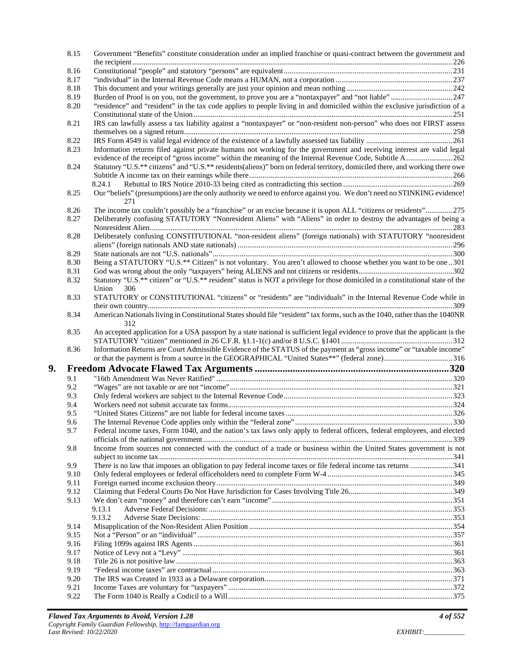|    | 8.15         | Government "Benefits" constitute consideration under an implied franchise or quasi-contract between the government and                         |  |
|----|--------------|------------------------------------------------------------------------------------------------------------------------------------------------|--|
|    | 8.16         |                                                                                                                                                |  |
|    | 8.17         |                                                                                                                                                |  |
|    | 8.18         |                                                                                                                                                |  |
|    | 8.19         |                                                                                                                                                |  |
|    | 8.20         | "residence" and "resident" in the tax code applies to people living in and domiciled within the exclusive jurisdiction of a                    |  |
|    | 8.21         | IRS can lawfully assess a tax liability against a "nontaxpayer" or "non-resident non-person" who does not FIRST assess                         |  |
|    | 8.22         |                                                                                                                                                |  |
|    | 8.23         | Information returns filed against private humans not working for the government and receiving interest are valid legal                         |  |
|    |              | evidence of the receipt of "gross income" within the meaning of the Internal Revenue Code, Subtitle A262                                       |  |
|    | 8.24         | Statutory "U.S.** citizens" and "U.S.** residents(aliens)" born on federal territory, domiciled there, and working there owe                   |  |
|    |              | 8.24.1                                                                                                                                         |  |
|    | 8.25         | Our "beliefs" (presumptions) are the only authority we need to enforce against you. We don't need no STINKING evidence!<br>271                 |  |
|    | 8.26         | The income tax couldn't possibly be a "franchise" or an excise because it is upon ALL "citizens or residents" 275                              |  |
|    | 8.27         | Deliberately confusing STATUTORY "Nonresident Aliens" with "Aliens" in order to destroy the advantages of being a                              |  |
|    | 8.28         | Deliberately confusing CONSTITUTIONAL "non-resident aliens" (foreign nationals) with STATUTORY "nonresident                                    |  |
|    |              |                                                                                                                                                |  |
|    | 8.29         |                                                                                                                                                |  |
|    | 8.30         | Being a STATUTORY "U.S.** Citizen" is not voluntary. You aren't allowed to choose whether you want to be one 301                               |  |
|    | 8.31         |                                                                                                                                                |  |
|    | 8.32         | Statutory "U.S.** citizen" or "U.S.** resident" status is NOT a privilege for those domiciled in a constitutional state of the<br>Union<br>306 |  |
|    | 8.33         | STATUTORY or CONSTITUTIONAL "citizens" or "residents" are "individuals" in the Internal Revenue Code while in                                  |  |
|    | 8.34         | American Nationals living in Constitutional States should file "resident" tax forms, such as the 1040, rather than the 1040NR                  |  |
|    |              |                                                                                                                                                |  |
|    | 8.35         | 312<br>An accepted application for a USA passport by a state national is sufficient legal evidence to prove that the applicant is the          |  |
|    |              |                                                                                                                                                |  |
|    | 8.36         | Information Returns are Court Admissible Evidence of the STATUS of the payment as "gross income" or "taxable income"                           |  |
|    |              | or that the payment is from a source in the GEOGRAPHICAL "United States**" (federal zone)316                                                   |  |
| 9. |              |                                                                                                                                                |  |
|    | 9.1          |                                                                                                                                                |  |
|    | 9.2          |                                                                                                                                                |  |
|    | 9.3          |                                                                                                                                                |  |
|    | 9.4          |                                                                                                                                                |  |
|    | 9.5          |                                                                                                                                                |  |
|    | 9.6          |                                                                                                                                                |  |
|    | 9.7          | Federal income taxes, Form 1040, and the nation's tax laws only apply to federal officers, federal employees, and elected                      |  |
|    | 9.8          | Income from sources not connected with the conduct of a trade or business within the United States government is not                           |  |
|    | 9.9          |                                                                                                                                                |  |
|    | 9.10         |                                                                                                                                                |  |
|    | 9.11         |                                                                                                                                                |  |
|    | 9.12         |                                                                                                                                                |  |
|    |              |                                                                                                                                                |  |
|    | 9.13         | 9.13.1                                                                                                                                         |  |
|    |              | 9.13.2                                                                                                                                         |  |
|    | 9.14         |                                                                                                                                                |  |
|    | 9.15         |                                                                                                                                                |  |
|    | 9.16         |                                                                                                                                                |  |
|    | 9.17         |                                                                                                                                                |  |
|    | 9.18         |                                                                                                                                                |  |
|    | 9.19         |                                                                                                                                                |  |
|    |              |                                                                                                                                                |  |
|    | 9.20<br>9.21 |                                                                                                                                                |  |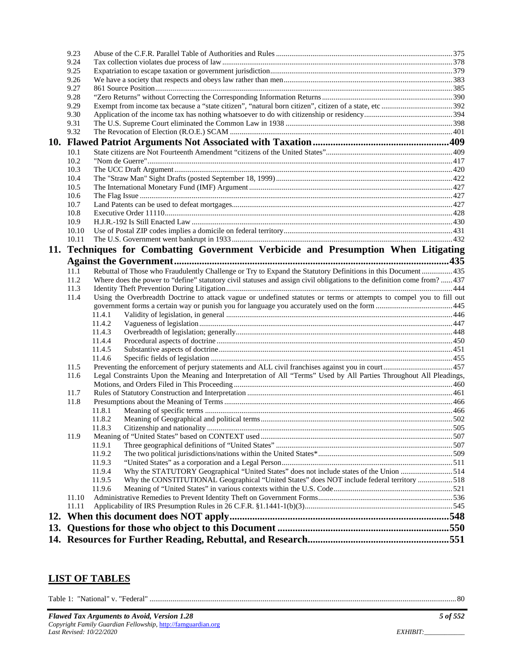|     | 9.23  |                                                                                                                        |  |
|-----|-------|------------------------------------------------------------------------------------------------------------------------|--|
|     | 9.24  |                                                                                                                        |  |
|     | 9.25  |                                                                                                                        |  |
|     | 9.26  |                                                                                                                        |  |
|     | 9.27  |                                                                                                                        |  |
|     | 9.28  |                                                                                                                        |  |
|     | 9.29  |                                                                                                                        |  |
|     | 9.30  |                                                                                                                        |  |
|     | 9.31  |                                                                                                                        |  |
|     | 9.32  |                                                                                                                        |  |
|     |       |                                                                                                                        |  |
|     | 10.1  |                                                                                                                        |  |
|     | 10.2  |                                                                                                                        |  |
|     | 10.3  |                                                                                                                        |  |
|     | 10.4  |                                                                                                                        |  |
|     | 10.5  |                                                                                                                        |  |
|     | 10.6  |                                                                                                                        |  |
|     | 10.7  |                                                                                                                        |  |
|     | 10.8  |                                                                                                                        |  |
|     | 10.9  |                                                                                                                        |  |
|     | 10.10 |                                                                                                                        |  |
|     | 10.11 |                                                                                                                        |  |
|     |       | 11. Techniques for Combatting Government Verbicide and Presumption When Litigating                                     |  |
|     |       |                                                                                                                        |  |
|     | 11.1  | Rebuttal of Those who Fraudulently Challenge or Try to Expand the Statutory Definitions in this Document 435           |  |
|     | 11.2  | Where does the power to "define" statutory civil statuses and assign civil obligations to the definition come from?437 |  |
|     | 11.3  |                                                                                                                        |  |
|     | 11.4  | Using the Overbreadth Doctrine to attack vague or undefined statutes or terms or attempts to compel you to fill out    |  |
|     |       |                                                                                                                        |  |
|     |       | 11.4.1                                                                                                                 |  |
|     |       | 11.4.2                                                                                                                 |  |
|     |       | 11.4.3                                                                                                                 |  |
|     |       | 11.4.4                                                                                                                 |  |
|     |       | 11.4.5                                                                                                                 |  |
|     |       | 11.4.6                                                                                                                 |  |
|     | 11.5  |                                                                                                                        |  |
|     | 11.6  | Legal Constraints Upon the Meaning and Interpretation of All "Terms" Used by All Parties Throughout All Pleadings,     |  |
|     |       |                                                                                                                        |  |
|     | 11.7  |                                                                                                                        |  |
|     | 11.8  |                                                                                                                        |  |
|     |       | 11.8.1                                                                                                                 |  |
|     |       | 11.8.2                                                                                                                 |  |
|     |       |                                                                                                                        |  |
|     | 11.9  |                                                                                                                        |  |
|     |       | 11.9.1                                                                                                                 |  |
|     |       | 11.9.2                                                                                                                 |  |
|     |       | 11.9.3                                                                                                                 |  |
|     |       | Why the STATUTORY Geographical "United States" does not include states of the Union 514<br>11.9.4                      |  |
|     |       | 11.9.5<br>Why the CONSTITUTIONAL Geographical "United States" does NOT include federal territory 518                   |  |
|     |       | 11.9.6                                                                                                                 |  |
|     | 11.10 |                                                                                                                        |  |
|     | 11.11 |                                                                                                                        |  |
| 12. |       |                                                                                                                        |  |
| 13. |       |                                                                                                                        |  |
|     |       |                                                                                                                        |  |
|     |       |                                                                                                                        |  |

## **LIST OF TABLES**

Table 1: "National" v. "Federal" ................................................................................................................................................................ 80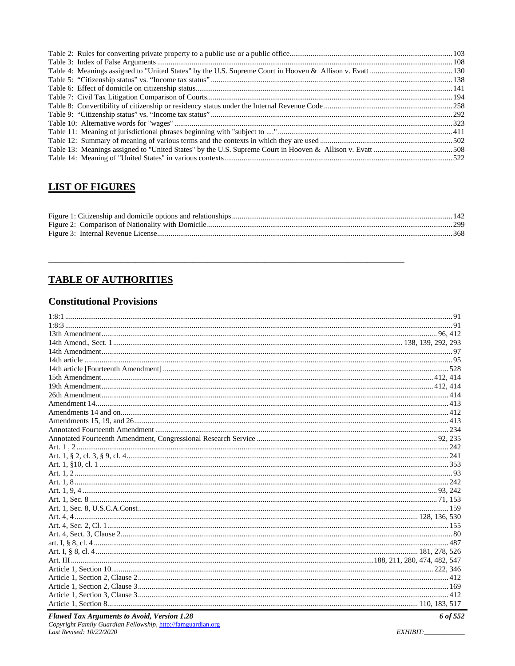## **LIST OF FIGURES**

|  | -142 |
|--|------|
|  |      |
|  |      |

# **TABLE OF AUTHORITIES**

## **Constitutional Provisions**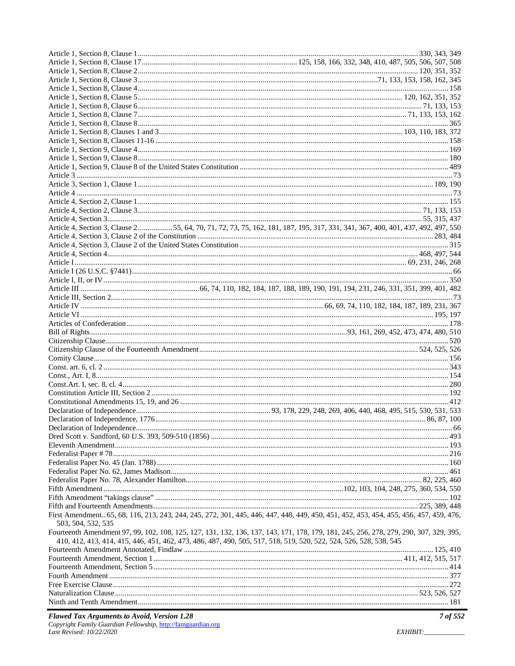|                    | Article 4, Section 3, Clause 255, 64, 70, 71, 72, 73, 75, 162, 181, 187, 195, 317, 331, 341, 367, 400, 401, 437, 492, 497, 550        |
|--------------------|---------------------------------------------------------------------------------------------------------------------------------------|
|                    |                                                                                                                                       |
|                    |                                                                                                                                       |
|                    |                                                                                                                                       |
|                    |                                                                                                                                       |
|                    |                                                                                                                                       |
|                    |                                                                                                                                       |
|                    |                                                                                                                                       |
|                    |                                                                                                                                       |
|                    |                                                                                                                                       |
|                    |                                                                                                                                       |
|                    |                                                                                                                                       |
|                    |                                                                                                                                       |
|                    |                                                                                                                                       |
|                    |                                                                                                                                       |
|                    |                                                                                                                                       |
|                    |                                                                                                                                       |
|                    |                                                                                                                                       |
|                    |                                                                                                                                       |
|                    |                                                                                                                                       |
|                    |                                                                                                                                       |
|                    |                                                                                                                                       |
|                    |                                                                                                                                       |
|                    |                                                                                                                                       |
|                    |                                                                                                                                       |
|                    |                                                                                                                                       |
|                    |                                                                                                                                       |
|                    |                                                                                                                                       |
|                    |                                                                                                                                       |
|                    |                                                                                                                                       |
|                    |                                                                                                                                       |
|                    |                                                                                                                                       |
|                    |                                                                                                                                       |
|                    |                                                                                                                                       |
|                    | First Amendment 65, 68, 116, 213, 243, 244, 245, 272, 301, 445, 446, 447, 448, 449, 450, 451, 452, 453, 454, 455, 456, 457, 459, 476, |
| 503, 504, 532, 535 |                                                                                                                                       |
|                    | Fourteenth Amendment 97, 99, 102, 108, 125, 127, 131, 132, 136, 137, 143, 171, 178, 179, 181, 245, 256, 278, 279, 290, 307, 329, 395, |
|                    | 410, 412, 413, 414, 415, 446, 451, 462, 473, 486, 487, 490, 505, 517, 518, 519, 520, 522, 524, 526, 528, 538, 545                     |
|                    |                                                                                                                                       |
|                    |                                                                                                                                       |
|                    |                                                                                                                                       |
|                    |                                                                                                                                       |
|                    |                                                                                                                                       |
|                    |                                                                                                                                       |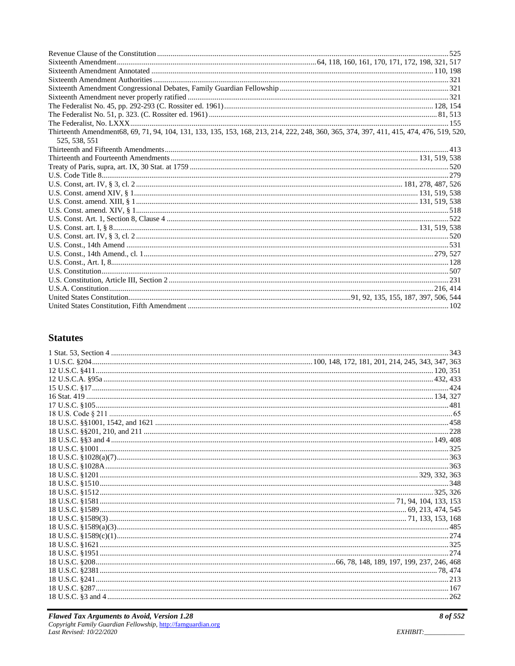| Thirteenth Amendment68, 69, 71, 94, 104, 131, 133, 135, 153, 168, 213, 214, 222, 248, 360, 365, 374, 397, 411, 415, 474, 476, 519, 520,<br>525, 538, 551 |  |
|----------------------------------------------------------------------------------------------------------------------------------------------------------|--|
|                                                                                                                                                          |  |
|                                                                                                                                                          |  |
|                                                                                                                                                          |  |
|                                                                                                                                                          |  |
|                                                                                                                                                          |  |
|                                                                                                                                                          |  |
|                                                                                                                                                          |  |
|                                                                                                                                                          |  |
|                                                                                                                                                          |  |
|                                                                                                                                                          |  |
|                                                                                                                                                          |  |
|                                                                                                                                                          |  |
|                                                                                                                                                          |  |
|                                                                                                                                                          |  |
|                                                                                                                                                          |  |
|                                                                                                                                                          |  |
|                                                                                                                                                          |  |
|                                                                                                                                                          |  |
|                                                                                                                                                          |  |

## **Statutes**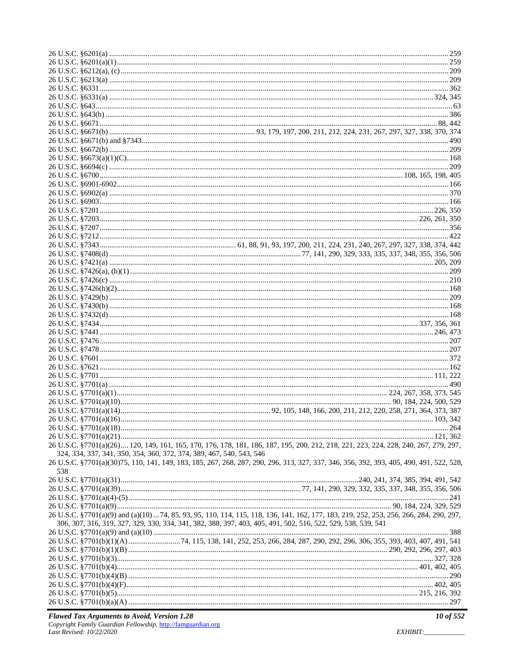|     | 26 U.S.C. §7701(a)(26) 120, 149, 161, 165, 170, 176, 178, 181, 186, 187, 195, 200, 212, 218, 221, 223, 224, 228, 240, 267, 279, 297,    |  |  |
|-----|-----------------------------------------------------------------------------------------------------------------------------------------|--|--|
|     | 324, 334, 337, 341, 350, 354, 360, 372, 374, 389, 467, 540, 543, 546                                                                    |  |  |
|     | 26 U.S.C. §7701(a)(30)75, 110, 141, 149, 183, 185, 267, 268, 287, 290, 296, 313, 327, 337, 346, 356, 392, 393, 405, 490, 491, 522, 528, |  |  |
|     |                                                                                                                                         |  |  |
| 538 |                                                                                                                                         |  |  |
|     |                                                                                                                                         |  |  |
|     |                                                                                                                                         |  |  |
|     |                                                                                                                                         |  |  |
|     |                                                                                                                                         |  |  |
|     |                                                                                                                                         |  |  |
|     | 26 U.S.C. §7701(a)(9) and (a)(10)  74, 85, 93, 95, 110, 114, 115, 118, 136, 141, 162, 177, 183, 219, 252, 253, 256, 266, 284, 290, 297, |  |  |
|     | 306, 307, 316, 319, 327, 329, 330, 334, 341, 382, 388, 397, 403, 405, 491, 502, 516, 522, 529, 538, 539, 541                            |  |  |
|     |                                                                                                                                         |  |  |
|     |                                                                                                                                         |  |  |
|     |                                                                                                                                         |  |  |
|     |                                                                                                                                         |  |  |
|     |                                                                                                                                         |  |  |
|     |                                                                                                                                         |  |  |
|     |                                                                                                                                         |  |  |
|     |                                                                                                                                         |  |  |
|     |                                                                                                                                         |  |  |
|     |                                                                                                                                         |  |  |
|     |                                                                                                                                         |  |  |
|     |                                                                                                                                         |  |  |
|     |                                                                                                                                         |  |  |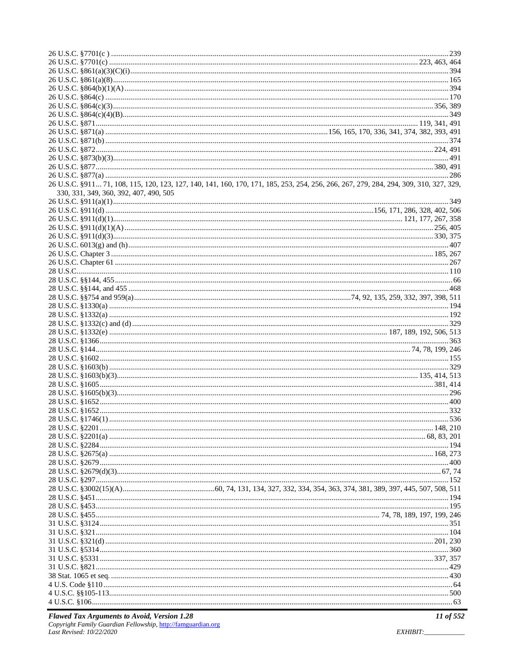| 26 U.S.C. §911 71, 108, 115, 120, 123, 127, 140, 141, 160, 170, 171, 185, 253, 254, 256, 266, 267, 279, 284, 294, 309, 310, 327, 329, |  |
|---------------------------------------------------------------------------------------------------------------------------------------|--|
| 330, 331, 349, 360, 392, 407, 490, 505                                                                                                |  |
|                                                                                                                                       |  |
|                                                                                                                                       |  |
|                                                                                                                                       |  |
|                                                                                                                                       |  |
|                                                                                                                                       |  |
|                                                                                                                                       |  |
|                                                                                                                                       |  |
|                                                                                                                                       |  |
|                                                                                                                                       |  |
|                                                                                                                                       |  |
|                                                                                                                                       |  |
|                                                                                                                                       |  |
|                                                                                                                                       |  |
|                                                                                                                                       |  |
|                                                                                                                                       |  |
|                                                                                                                                       |  |
|                                                                                                                                       |  |
|                                                                                                                                       |  |
|                                                                                                                                       |  |
|                                                                                                                                       |  |
|                                                                                                                                       |  |
|                                                                                                                                       |  |
|                                                                                                                                       |  |
|                                                                                                                                       |  |
|                                                                                                                                       |  |
|                                                                                                                                       |  |
|                                                                                                                                       |  |
|                                                                                                                                       |  |
|                                                                                                                                       |  |
|                                                                                                                                       |  |
|                                                                                                                                       |  |
|                                                                                                                                       |  |
|                                                                                                                                       |  |
|                                                                                                                                       |  |
|                                                                                                                                       |  |
|                                                                                                                                       |  |
|                                                                                                                                       |  |
|                                                                                                                                       |  |
|                                                                                                                                       |  |
|                                                                                                                                       |  |
|                                                                                                                                       |  |
|                                                                                                                                       |  |
|                                                                                                                                       |  |
|                                                                                                                                       |  |
|                                                                                                                                       |  |
|                                                                                                                                       |  |
| 4 U.S.C. 8106.<br>63                                                                                                                  |  |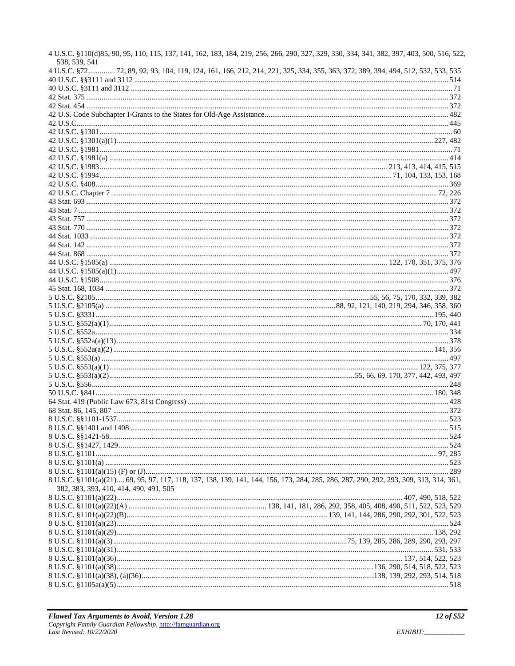| 4 U.S.C. §110(d)85, 90, 95, 110, 115, 137, 141, 162, 183, 184, 219, 256, 266, 290, 327, 329, 330, 334, 341, 382, 397, 403, 500, 516, 522<br>538, 539, 541<br>4 U.S.C. §72 72, 89, 92, 93, 104, 119, 124, 161, 166, 212, 214, 221, 325, 334, 355, 363, 372, 389, 394, 494, 512, 532, 533, 535 |  |
|----------------------------------------------------------------------------------------------------------------------------------------------------------------------------------------------------------------------------------------------------------------------------------------------|--|
|                                                                                                                                                                                                                                                                                              |  |
|                                                                                                                                                                                                                                                                                              |  |
|                                                                                                                                                                                                                                                                                              |  |
|                                                                                                                                                                                                                                                                                              |  |
|                                                                                                                                                                                                                                                                                              |  |
|                                                                                                                                                                                                                                                                                              |  |
|                                                                                                                                                                                                                                                                                              |  |
|                                                                                                                                                                                                                                                                                              |  |
|                                                                                                                                                                                                                                                                                              |  |
|                                                                                                                                                                                                                                                                                              |  |
|                                                                                                                                                                                                                                                                                              |  |
|                                                                                                                                                                                                                                                                                              |  |
|                                                                                                                                                                                                                                                                                              |  |
|                                                                                                                                                                                                                                                                                              |  |
|                                                                                                                                                                                                                                                                                              |  |
|                                                                                                                                                                                                                                                                                              |  |
|                                                                                                                                                                                                                                                                                              |  |
|                                                                                                                                                                                                                                                                                              |  |
|                                                                                                                                                                                                                                                                                              |  |
|                                                                                                                                                                                                                                                                                              |  |
|                                                                                                                                                                                                                                                                                              |  |
|                                                                                                                                                                                                                                                                                              |  |
|                                                                                                                                                                                                                                                                                              |  |
|                                                                                                                                                                                                                                                                                              |  |
|                                                                                                                                                                                                                                                                                              |  |
|                                                                                                                                                                                                                                                                                              |  |
|                                                                                                                                                                                                                                                                                              |  |
|                                                                                                                                                                                                                                                                                              |  |
|                                                                                                                                                                                                                                                                                              |  |
|                                                                                                                                                                                                                                                                                              |  |
|                                                                                                                                                                                                                                                                                              |  |
|                                                                                                                                                                                                                                                                                              |  |
|                                                                                                                                                                                                                                                                                              |  |
|                                                                                                                                                                                                                                                                                              |  |
|                                                                                                                                                                                                                                                                                              |  |
|                                                                                                                                                                                                                                                                                              |  |
|                                                                                                                                                                                                                                                                                              |  |
|                                                                                                                                                                                                                                                                                              |  |
|                                                                                                                                                                                                                                                                                              |  |
|                                                                                                                                                                                                                                                                                              |  |
|                                                                                                                                                                                                                                                                                              |  |
|                                                                                                                                                                                                                                                                                              |  |
|                                                                                                                                                                                                                                                                                              |  |
|                                                                                                                                                                                                                                                                                              |  |
|                                                                                                                                                                                                                                                                                              |  |
|                                                                                                                                                                                                                                                                                              |  |
|                                                                                                                                                                                                                                                                                              |  |
|                                                                                                                                                                                                                                                                                              |  |
| 8 U.S.C. §1101(a)(21) 69, 95, 97, 117, 118, 137, 138, 139, 141, 144, 156, 173, 284, 285, 286, 287, 290, 292, 293, 309, 313, 314, 361,                                                                                                                                                        |  |
|                                                                                                                                                                                                                                                                                              |  |
| 382, 383, 393, 410, 414, 490, 491, 505                                                                                                                                                                                                                                                       |  |
|                                                                                                                                                                                                                                                                                              |  |
|                                                                                                                                                                                                                                                                                              |  |
|                                                                                                                                                                                                                                                                                              |  |
|                                                                                                                                                                                                                                                                                              |  |
|                                                                                                                                                                                                                                                                                              |  |
|                                                                                                                                                                                                                                                                                              |  |
|                                                                                                                                                                                                                                                                                              |  |
|                                                                                                                                                                                                                                                                                              |  |
|                                                                                                                                                                                                                                                                                              |  |
|                                                                                                                                                                                                                                                                                              |  |
|                                                                                                                                                                                                                                                                                              |  |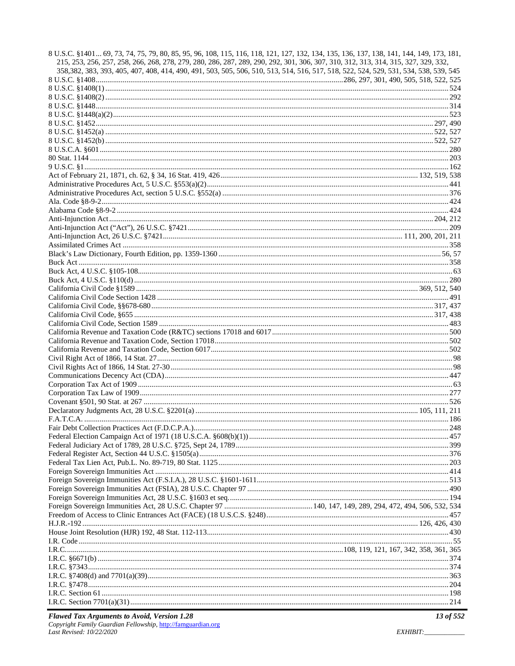| 8 U.S.C. §1401 69, 73, 74, 75, 79, 80, 85, 95, 96, 108, 115, 116, 118, 121, 127, 132, 134, 135, 136, 137, 138, 141, 144, 149, 173, 181, |  |
|-----------------------------------------------------------------------------------------------------------------------------------------|--|
| 215, 253, 256, 257, 258, 266, 268, 278, 279, 280, 286, 287, 289, 290, 292, 301, 306, 307, 310, 312, 313, 314, 315, 327, 329, 332,       |  |
| 358, 382, 383, 393, 405, 407, 408, 414, 490, 491, 503, 505, 506, 510, 513, 514, 516, 517, 518, 522, 524, 529, 531, 534, 538, 539, 545   |  |
|                                                                                                                                         |  |
|                                                                                                                                         |  |
|                                                                                                                                         |  |
|                                                                                                                                         |  |
|                                                                                                                                         |  |
|                                                                                                                                         |  |
|                                                                                                                                         |  |
|                                                                                                                                         |  |
|                                                                                                                                         |  |
|                                                                                                                                         |  |
|                                                                                                                                         |  |
|                                                                                                                                         |  |
|                                                                                                                                         |  |
|                                                                                                                                         |  |
|                                                                                                                                         |  |
|                                                                                                                                         |  |
|                                                                                                                                         |  |
|                                                                                                                                         |  |
|                                                                                                                                         |  |
|                                                                                                                                         |  |
|                                                                                                                                         |  |
|                                                                                                                                         |  |
|                                                                                                                                         |  |
|                                                                                                                                         |  |
|                                                                                                                                         |  |
|                                                                                                                                         |  |
|                                                                                                                                         |  |
|                                                                                                                                         |  |
|                                                                                                                                         |  |
|                                                                                                                                         |  |
|                                                                                                                                         |  |
|                                                                                                                                         |  |
|                                                                                                                                         |  |
|                                                                                                                                         |  |
|                                                                                                                                         |  |
|                                                                                                                                         |  |
|                                                                                                                                         |  |
|                                                                                                                                         |  |
|                                                                                                                                         |  |
|                                                                                                                                         |  |
|                                                                                                                                         |  |
|                                                                                                                                         |  |
|                                                                                                                                         |  |
|                                                                                                                                         |  |
|                                                                                                                                         |  |
|                                                                                                                                         |  |
|                                                                                                                                         |  |
|                                                                                                                                         |  |
|                                                                                                                                         |  |
|                                                                                                                                         |  |
|                                                                                                                                         |  |
|                                                                                                                                         |  |
|                                                                                                                                         |  |
|                                                                                                                                         |  |
|                                                                                                                                         |  |
|                                                                                                                                         |  |
|                                                                                                                                         |  |
|                                                                                                                                         |  |
|                                                                                                                                         |  |
|                                                                                                                                         |  |
|                                                                                                                                         |  |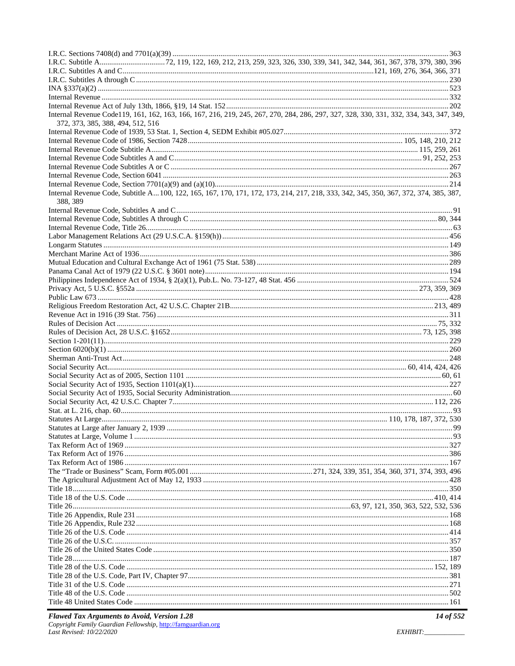| Internal Revenue Code119, 161, 162, 163, 166, 167, 216, 219, 245, 267, 270, 284, 286, 297, 327, 328, 330, 331, 332, 334, 343, 347, 349, |  |
|-----------------------------------------------------------------------------------------------------------------------------------------|--|
| 372, 373, 385, 388, 494, 512, 516                                                                                                       |  |
|                                                                                                                                         |  |
|                                                                                                                                         |  |
|                                                                                                                                         |  |
|                                                                                                                                         |  |
|                                                                                                                                         |  |
|                                                                                                                                         |  |
| Internal Revenue Code, Subtitle A 100, 122, 165, 167, 170, 171, 172, 173, 214, 217, 218, 333, 342, 345, 350, 367, 372, 374, 385, 387,   |  |
| 388, 389                                                                                                                                |  |
|                                                                                                                                         |  |
|                                                                                                                                         |  |
|                                                                                                                                         |  |
|                                                                                                                                         |  |
|                                                                                                                                         |  |
|                                                                                                                                         |  |
|                                                                                                                                         |  |
|                                                                                                                                         |  |
|                                                                                                                                         |  |
|                                                                                                                                         |  |
|                                                                                                                                         |  |
|                                                                                                                                         |  |
|                                                                                                                                         |  |
|                                                                                                                                         |  |
|                                                                                                                                         |  |
|                                                                                                                                         |  |
|                                                                                                                                         |  |
|                                                                                                                                         |  |
|                                                                                                                                         |  |
|                                                                                                                                         |  |
|                                                                                                                                         |  |
|                                                                                                                                         |  |
|                                                                                                                                         |  |
|                                                                                                                                         |  |
|                                                                                                                                         |  |
|                                                                                                                                         |  |
|                                                                                                                                         |  |
|                                                                                                                                         |  |
|                                                                                                                                         |  |
|                                                                                                                                         |  |
|                                                                                                                                         |  |
|                                                                                                                                         |  |
|                                                                                                                                         |  |
|                                                                                                                                         |  |
|                                                                                                                                         |  |
|                                                                                                                                         |  |
|                                                                                                                                         |  |
|                                                                                                                                         |  |
|                                                                                                                                         |  |
|                                                                                                                                         |  |
|                                                                                                                                         |  |
|                                                                                                                                         |  |
|                                                                                                                                         |  |
|                                                                                                                                         |  |
|                                                                                                                                         |  |

EXHIBIT:\_\_\_\_\_\_\_\_\_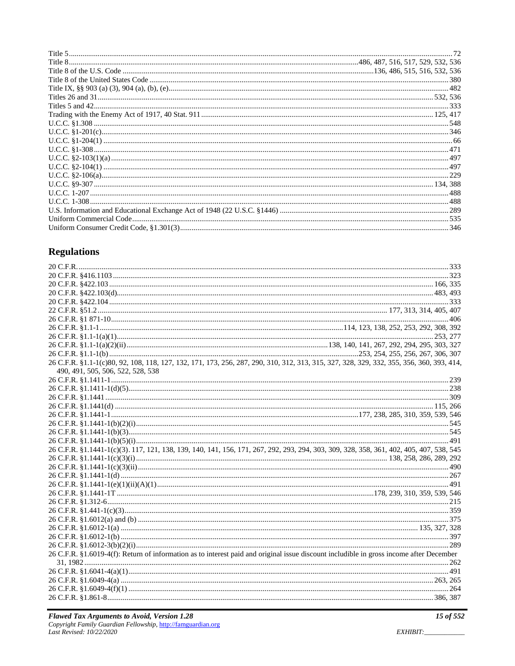# **Regulations**

| 26 C.F.R. §1.1-1(c)80, 92, 108, 118, 127, 132, 171, 173, 256, 287, 290, 310, 312, 313, 315, 327, 328, 329, 332, 355, 356, 360, 393, 414, |  |
|------------------------------------------------------------------------------------------------------------------------------------------|--|
| 490, 491, 505, 506, 522, 528, 538                                                                                                        |  |
|                                                                                                                                          |  |
|                                                                                                                                          |  |
|                                                                                                                                          |  |
|                                                                                                                                          |  |
|                                                                                                                                          |  |
|                                                                                                                                          |  |
|                                                                                                                                          |  |
|                                                                                                                                          |  |
| 26 C.F.R. §1.1441-1(c)(3). 117, 121, 138, 139, 140, 141, 156, 171, 267, 292, 293, 294, 303, 309, 328, 358, 361, 402, 405, 407, 538, 545  |  |
|                                                                                                                                          |  |
|                                                                                                                                          |  |
|                                                                                                                                          |  |
|                                                                                                                                          |  |
|                                                                                                                                          |  |
|                                                                                                                                          |  |
|                                                                                                                                          |  |
|                                                                                                                                          |  |
|                                                                                                                                          |  |
|                                                                                                                                          |  |
|                                                                                                                                          |  |
| 26 C.F.R. §1.6019-4(f): Return of information as to interest paid and original issue discount includible in gross income after December  |  |
|                                                                                                                                          |  |
|                                                                                                                                          |  |
|                                                                                                                                          |  |
|                                                                                                                                          |  |
|                                                                                                                                          |  |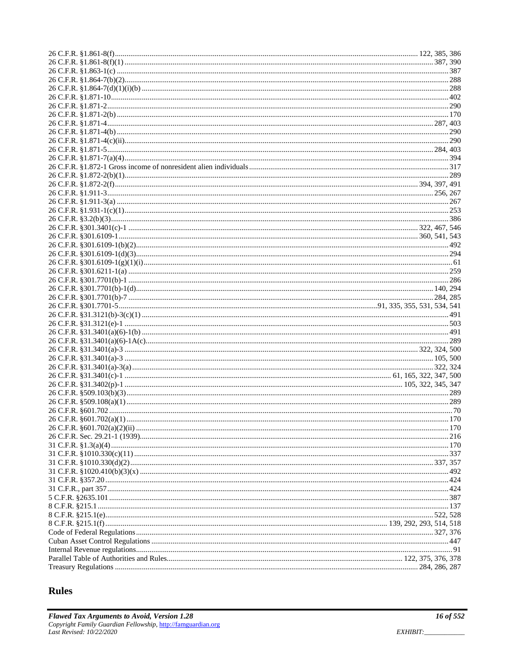## Rules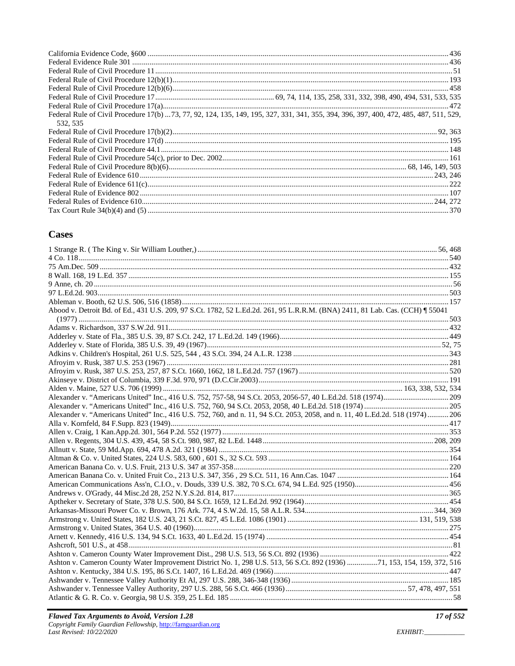| Federal Rule of Civil Procedure 17(b)  73, 77, 92, 124, 135, 149, 195, 327, 331, 341, 355, 394, 396, 397, 400, 472, 485, 487, 511, 529, |
|-----------------------------------------------------------------------------------------------------------------------------------------|
| 532, 535                                                                                                                                |
|                                                                                                                                         |
|                                                                                                                                         |
|                                                                                                                                         |
|                                                                                                                                         |
|                                                                                                                                         |
|                                                                                                                                         |
|                                                                                                                                         |
|                                                                                                                                         |
|                                                                                                                                         |
|                                                                                                                                         |

## **Cases**

| Abood v. Detroit Bd. of Ed., 431 U.S. 209, 97 S.Ct. 1782, 52 L.Ed.2d. 261, 95 L.R.R.M. (BNA) 2411, 81 Lab. Cas. (CCH) [ 55041   |  |
|---------------------------------------------------------------------------------------------------------------------------------|--|
|                                                                                                                                 |  |
|                                                                                                                                 |  |
|                                                                                                                                 |  |
|                                                                                                                                 |  |
|                                                                                                                                 |  |
|                                                                                                                                 |  |
|                                                                                                                                 |  |
|                                                                                                                                 |  |
|                                                                                                                                 |  |
|                                                                                                                                 |  |
| Alexander v. "Americans United" Inc., 416 U.S. 752, 760, and n. 11, 94 S.Ct. 2053, 2058, and n. 11, 40 L.Ed.2d. 518 (1974)  206 |  |
|                                                                                                                                 |  |
|                                                                                                                                 |  |
|                                                                                                                                 |  |
|                                                                                                                                 |  |
|                                                                                                                                 |  |
|                                                                                                                                 |  |
|                                                                                                                                 |  |
|                                                                                                                                 |  |
|                                                                                                                                 |  |
|                                                                                                                                 |  |
|                                                                                                                                 |  |
|                                                                                                                                 |  |
|                                                                                                                                 |  |
|                                                                                                                                 |  |
|                                                                                                                                 |  |
|                                                                                                                                 |  |
| Ashton v. Cameron County Water Improvement District No. 1, 298 U.S. 513, 56 S.Ct. 892 (1936) 71, 153, 154, 159, 372, 516        |  |
|                                                                                                                                 |  |
|                                                                                                                                 |  |
|                                                                                                                                 |  |
|                                                                                                                                 |  |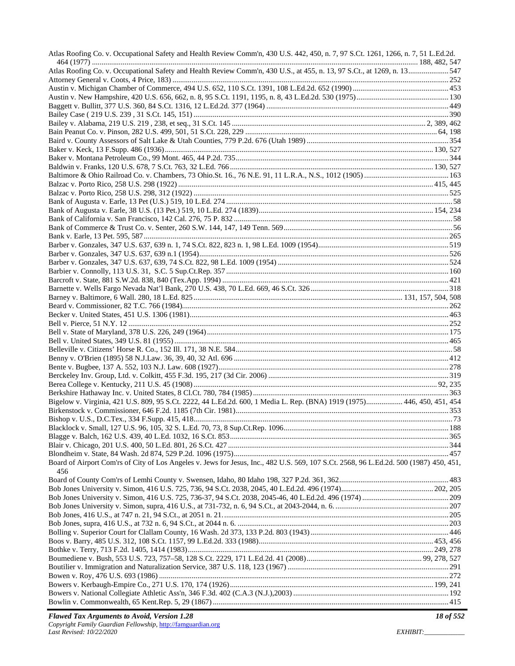| Atlas Roofing Co. v. Occupational Safety and Health Review Comm'n, 430 U.S. 442, 450, n. 7, 97 S.Ct. 1261, 1266, n. 7, 51 L.Ed.2d.     |  |
|----------------------------------------------------------------------------------------------------------------------------------------|--|
| Atlas Roofing Co. v. Occupational Safety and Health Review Comm'n, 430 U.S., at 455, n. 13, 97 S.Ct., at 1269, n. 13547                |  |
|                                                                                                                                        |  |
|                                                                                                                                        |  |
|                                                                                                                                        |  |
|                                                                                                                                        |  |
|                                                                                                                                        |  |
|                                                                                                                                        |  |
|                                                                                                                                        |  |
|                                                                                                                                        |  |
|                                                                                                                                        |  |
|                                                                                                                                        |  |
|                                                                                                                                        |  |
|                                                                                                                                        |  |
|                                                                                                                                        |  |
|                                                                                                                                        |  |
|                                                                                                                                        |  |
|                                                                                                                                        |  |
|                                                                                                                                        |  |
|                                                                                                                                        |  |
|                                                                                                                                        |  |
|                                                                                                                                        |  |
|                                                                                                                                        |  |
|                                                                                                                                        |  |
|                                                                                                                                        |  |
|                                                                                                                                        |  |
|                                                                                                                                        |  |
|                                                                                                                                        |  |
|                                                                                                                                        |  |
|                                                                                                                                        |  |
|                                                                                                                                        |  |
|                                                                                                                                        |  |
|                                                                                                                                        |  |
|                                                                                                                                        |  |
|                                                                                                                                        |  |
| Bigelow v. Virginia, 421 U.S. 809, 95 S.Ct. 2222, 44 L.Ed.2d. 600, 1 Media L. Rep. (BNA) 1919 (1975) 446, 450, 451, 454                |  |
|                                                                                                                                        |  |
|                                                                                                                                        |  |
|                                                                                                                                        |  |
|                                                                                                                                        |  |
|                                                                                                                                        |  |
| Board of Airport Com'rs of City of Los Angeles v. Jews for Jesus, Inc., 482 U.S. 569, 107 S.Ct. 2568, 96 L.Ed.2d. 500 (1987) 450, 451, |  |
| 456                                                                                                                                    |  |
|                                                                                                                                        |  |
|                                                                                                                                        |  |
|                                                                                                                                        |  |
|                                                                                                                                        |  |
|                                                                                                                                        |  |
|                                                                                                                                        |  |
|                                                                                                                                        |  |
|                                                                                                                                        |  |
|                                                                                                                                        |  |
|                                                                                                                                        |  |
|                                                                                                                                        |  |
|                                                                                                                                        |  |
|                                                                                                                                        |  |
|                                                                                                                                        |  |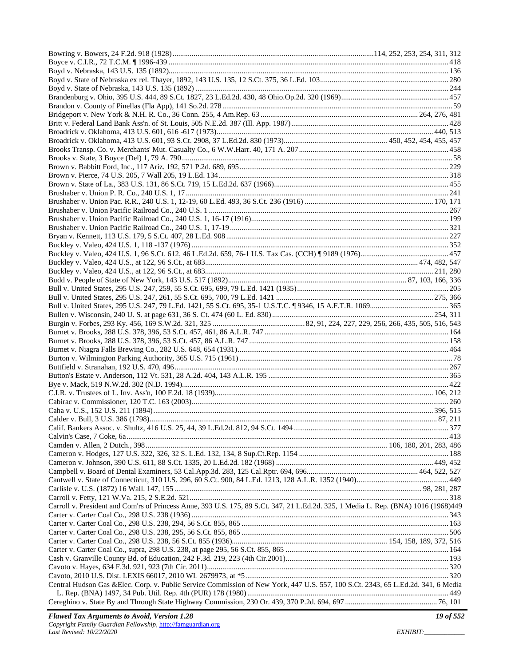| Carroll v. President and Com'rs of Princess Anne, 393 U.S. 175, 89 S.Ct. 347, 21 L.Ed.2d. 325, 1 Media L. Rep. (BNA) 1016 (1968)449 |  |
|-------------------------------------------------------------------------------------------------------------------------------------|--|
|                                                                                                                                     |  |
|                                                                                                                                     |  |
|                                                                                                                                     |  |
|                                                                                                                                     |  |
|                                                                                                                                     |  |
|                                                                                                                                     |  |
|                                                                                                                                     |  |
|                                                                                                                                     |  |
| Central Hudson Gas &Elec. Corp. v. Public Service Commission of New York, 447 U.S. 557, 100 S.Ct. 2343, 65 L.Ed.2d. 341, 6 Media    |  |
|                                                                                                                                     |  |
|                                                                                                                                     |  |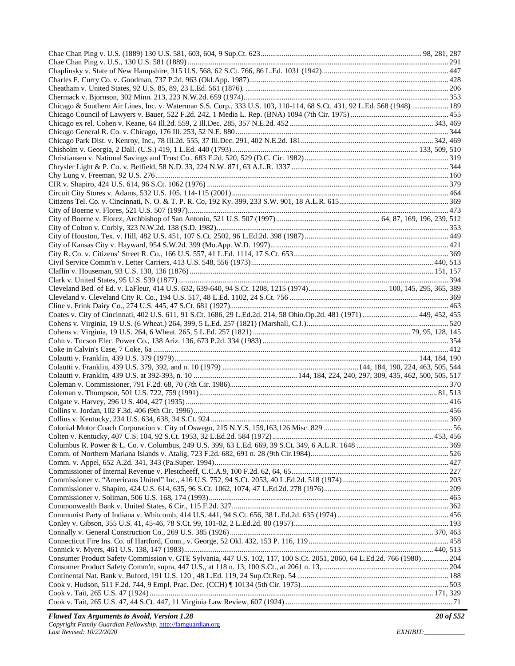| Chicago & Southern Air Lines, Inc. v. Waterman S.S. Corp., 333 U.S. 103, 110-114, 68 S.Ct. 431, 92 L.Ed. 568 (1948)  189 |  |
|--------------------------------------------------------------------------------------------------------------------------|--|
|                                                                                                                          |  |
|                                                                                                                          |  |
|                                                                                                                          |  |
|                                                                                                                          |  |
|                                                                                                                          |  |
|                                                                                                                          |  |
|                                                                                                                          |  |
|                                                                                                                          |  |
|                                                                                                                          |  |
|                                                                                                                          |  |
|                                                                                                                          |  |
|                                                                                                                          |  |
|                                                                                                                          |  |
|                                                                                                                          |  |
|                                                                                                                          |  |
|                                                                                                                          |  |
|                                                                                                                          |  |
|                                                                                                                          |  |
|                                                                                                                          |  |
|                                                                                                                          |  |
|                                                                                                                          |  |
|                                                                                                                          |  |
| Coates v. City of Cincinnati, 402 U.S. 611, 91 S.Ct. 1686, 29 L.Ed.2d. 214, 58 Ohio.Op.2d. 481 (1971) 449, 452, 455      |  |
|                                                                                                                          |  |
|                                                                                                                          |  |
|                                                                                                                          |  |
|                                                                                                                          |  |
|                                                                                                                          |  |
|                                                                                                                          |  |
|                                                                                                                          |  |
|                                                                                                                          |  |
|                                                                                                                          |  |
|                                                                                                                          |  |
|                                                                                                                          |  |
|                                                                                                                          |  |
|                                                                                                                          |  |
|                                                                                                                          |  |
|                                                                                                                          |  |
|                                                                                                                          |  |
|                                                                                                                          |  |
|                                                                                                                          |  |
|                                                                                                                          |  |
|                                                                                                                          |  |
|                                                                                                                          |  |
|                                                                                                                          |  |
|                                                                                                                          |  |
|                                                                                                                          |  |
|                                                                                                                          |  |
|                                                                                                                          |  |
|                                                                                                                          |  |
| Consumer Product Safety Commission v. GTE Sylvania, 447 U.S. 102, 117, 100 S.Ct. 2051, 2060, 64 L.Ed.2d. 766 (1980) 204  |  |
|                                                                                                                          |  |
|                                                                                                                          |  |
|                                                                                                                          |  |
|                                                                                                                          |  |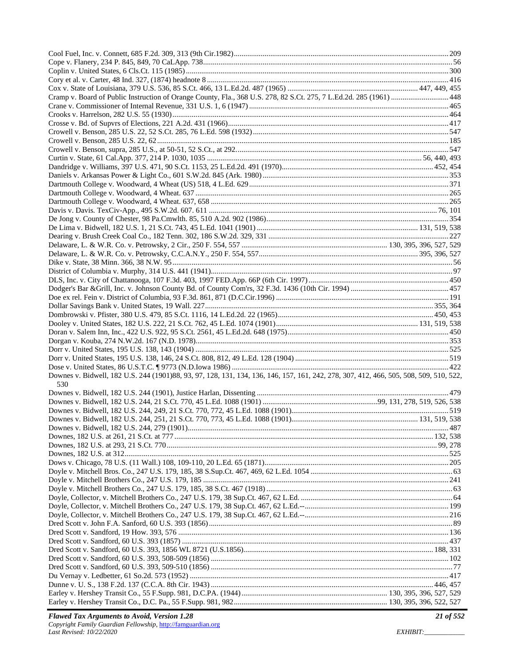| Cramp v. Board of Public Instruction of Orange County, Fla., 368 U.S. 278, 82 S.Ct. 275, 7 L.Ed.2d. 285 (1961)  448                    |  |
|----------------------------------------------------------------------------------------------------------------------------------------|--|
|                                                                                                                                        |  |
|                                                                                                                                        |  |
|                                                                                                                                        |  |
|                                                                                                                                        |  |
|                                                                                                                                        |  |
|                                                                                                                                        |  |
|                                                                                                                                        |  |
|                                                                                                                                        |  |
|                                                                                                                                        |  |
|                                                                                                                                        |  |
|                                                                                                                                        |  |
|                                                                                                                                        |  |
|                                                                                                                                        |  |
|                                                                                                                                        |  |
|                                                                                                                                        |  |
|                                                                                                                                        |  |
|                                                                                                                                        |  |
|                                                                                                                                        |  |
|                                                                                                                                        |  |
|                                                                                                                                        |  |
|                                                                                                                                        |  |
|                                                                                                                                        |  |
|                                                                                                                                        |  |
|                                                                                                                                        |  |
|                                                                                                                                        |  |
|                                                                                                                                        |  |
|                                                                                                                                        |  |
|                                                                                                                                        |  |
|                                                                                                                                        |  |
|                                                                                                                                        |  |
|                                                                                                                                        |  |
| Downes v. Bidwell, 182 U.S. 244 (1901)88, 93, 97, 128, 131, 134, 136, 146, 157, 161, 242, 278, 307, 412, 466, 505, 508, 509, 510, 522, |  |
| 530                                                                                                                                    |  |
|                                                                                                                                        |  |
|                                                                                                                                        |  |
|                                                                                                                                        |  |
|                                                                                                                                        |  |
|                                                                                                                                        |  |
|                                                                                                                                        |  |
|                                                                                                                                        |  |
|                                                                                                                                        |  |
|                                                                                                                                        |  |
|                                                                                                                                        |  |
|                                                                                                                                        |  |
|                                                                                                                                        |  |
|                                                                                                                                        |  |
|                                                                                                                                        |  |
|                                                                                                                                        |  |
|                                                                                                                                        |  |
|                                                                                                                                        |  |
|                                                                                                                                        |  |
|                                                                                                                                        |  |
|                                                                                                                                        |  |
|                                                                                                                                        |  |
|                                                                                                                                        |  |
|                                                                                                                                        |  |
|                                                                                                                                        |  |
|                                                                                                                                        |  |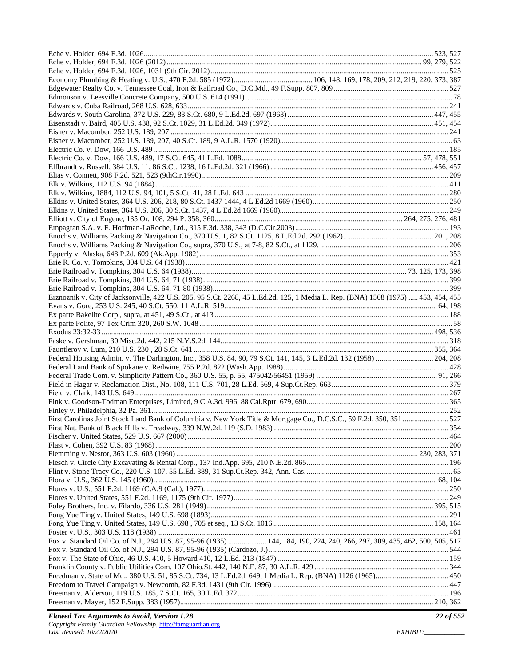| Erznoznik v. City of Jacksonville, 422 U.S. 205, 95 S.Ct. 2268, 45 L.Ed.2d. 125, 1 Media L. Rep. (BNA) 1508 (1975)  453, 454, 455 |  |
|-----------------------------------------------------------------------------------------------------------------------------------|--|
|                                                                                                                                   |  |
|                                                                                                                                   |  |
|                                                                                                                                   |  |
|                                                                                                                                   |  |
|                                                                                                                                   |  |
|                                                                                                                                   |  |
|                                                                                                                                   |  |
|                                                                                                                                   |  |
|                                                                                                                                   |  |
|                                                                                                                                   |  |
|                                                                                                                                   |  |
|                                                                                                                                   |  |
|                                                                                                                                   |  |
| First Carolinas Joint Stock Land Bank of Columbia v. New York Title & Mortgage Co., D.C.S.C., 59 F.2d. 350, 351 527               |  |
|                                                                                                                                   |  |
|                                                                                                                                   |  |
|                                                                                                                                   |  |
|                                                                                                                                   |  |
|                                                                                                                                   |  |
|                                                                                                                                   |  |
|                                                                                                                                   |  |
|                                                                                                                                   |  |
|                                                                                                                                   |  |
|                                                                                                                                   |  |
|                                                                                                                                   |  |
|                                                                                                                                   |  |
|                                                                                                                                   |  |
| Fox v. Standard Oil Co. of N.J., 294 U.S. 87, 95-96 (1935)  144, 184, 190, 224, 240, 266, 297, 309, 435, 462, 500, 505, 517       |  |
|                                                                                                                                   |  |
|                                                                                                                                   |  |
|                                                                                                                                   |  |
|                                                                                                                                   |  |
|                                                                                                                                   |  |
|                                                                                                                                   |  |
|                                                                                                                                   |  |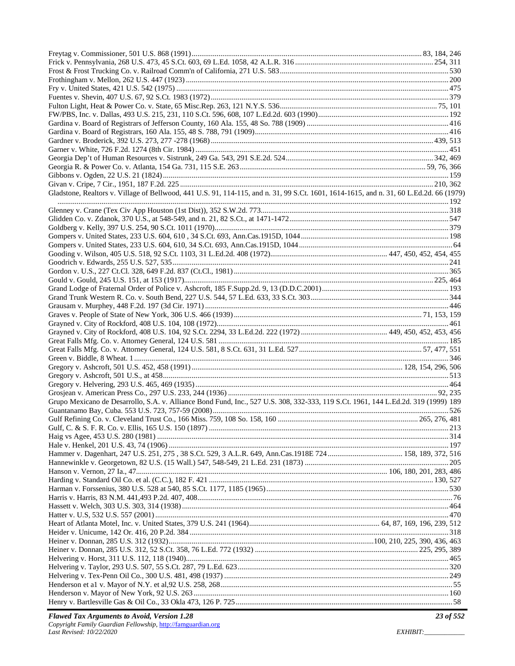| Gladstone, Realtors v. Village of Bellwood, 441 U.S. 91, 114-115, and n. 31, 99 S.Ct. 1601, 1614-1615, and n. 31, 60 L.Ed.2d. 66 (1979) |  |
|-----------------------------------------------------------------------------------------------------------------------------------------|--|
|                                                                                                                                         |  |
|                                                                                                                                         |  |
|                                                                                                                                         |  |
|                                                                                                                                         |  |
|                                                                                                                                         |  |
|                                                                                                                                         |  |
|                                                                                                                                         |  |
|                                                                                                                                         |  |
|                                                                                                                                         |  |
|                                                                                                                                         |  |
|                                                                                                                                         |  |
|                                                                                                                                         |  |
|                                                                                                                                         |  |
|                                                                                                                                         |  |
|                                                                                                                                         |  |
|                                                                                                                                         |  |
|                                                                                                                                         |  |
|                                                                                                                                         |  |
|                                                                                                                                         |  |
|                                                                                                                                         |  |
|                                                                                                                                         |  |
|                                                                                                                                         |  |
|                                                                                                                                         |  |
| Grupo Mexicano de Desarrollo, S.A. v. Alliance Bond Fund, Inc., 527 U.S. 308, 332-333, 119 S.Ct. 1961, 144 L.Ed.2d. 319 (1999) 189      |  |
|                                                                                                                                         |  |
|                                                                                                                                         |  |
|                                                                                                                                         |  |
|                                                                                                                                         |  |
|                                                                                                                                         |  |
|                                                                                                                                         |  |
|                                                                                                                                         |  |
|                                                                                                                                         |  |
|                                                                                                                                         |  |
|                                                                                                                                         |  |
|                                                                                                                                         |  |
|                                                                                                                                         |  |
|                                                                                                                                         |  |
|                                                                                                                                         |  |
|                                                                                                                                         |  |
|                                                                                                                                         |  |
|                                                                                                                                         |  |
|                                                                                                                                         |  |
|                                                                                                                                         |  |
|                                                                                                                                         |  |
|                                                                                                                                         |  |
|                                                                                                                                         |  |
|                                                                                                                                         |  |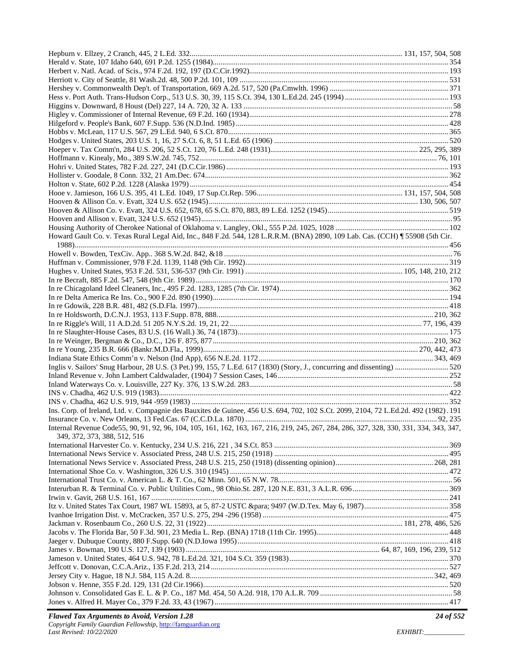| Howard Gault Co. v. Texas Rural Legal Aid, Inc., 848 F.2d. 544, 128 L.R.R.M. (BNA) 2890, 109 Lab. Cas. (CCH) ¶ 55908 (5th Cir.          |  |
|-----------------------------------------------------------------------------------------------------------------------------------------|--|
|                                                                                                                                         |  |
|                                                                                                                                         |  |
|                                                                                                                                         |  |
|                                                                                                                                         |  |
|                                                                                                                                         |  |
|                                                                                                                                         |  |
|                                                                                                                                         |  |
|                                                                                                                                         |  |
|                                                                                                                                         |  |
|                                                                                                                                         |  |
|                                                                                                                                         |  |
|                                                                                                                                         |  |
| Inglis v. Sailors' Snug Harbour, 28 U.S. (3 Pet.) 99, 155, 7 L.Ed. 617 (1830) (Story, J., concurring and dissenting) 520                |  |
|                                                                                                                                         |  |
|                                                                                                                                         |  |
|                                                                                                                                         |  |
|                                                                                                                                         |  |
| Ins. Corp. of Ireland, Ltd. v. Compagnie des Bauxites de Guinee, 456 U.S. 694, 702, 102 S.Ct. 2099, 2104, 72 L.Ed.2d. 492 (1982). 191   |  |
| Internal Revenue Code55, 90, 91, 92, 96, 104, 105, 161, 162, 163, 167, 216, 219, 245, 267, 284, 286, 327, 328, 330, 331, 334, 343, 347, |  |
| 349, 372, 373, 388, 512, 516                                                                                                            |  |
|                                                                                                                                         |  |
|                                                                                                                                         |  |
|                                                                                                                                         |  |
|                                                                                                                                         |  |
|                                                                                                                                         |  |
|                                                                                                                                         |  |
|                                                                                                                                         |  |
|                                                                                                                                         |  |
|                                                                                                                                         |  |
|                                                                                                                                         |  |
|                                                                                                                                         |  |
|                                                                                                                                         |  |
|                                                                                                                                         |  |
|                                                                                                                                         |  |
|                                                                                                                                         |  |
|                                                                                                                                         |  |
|                                                                                                                                         |  |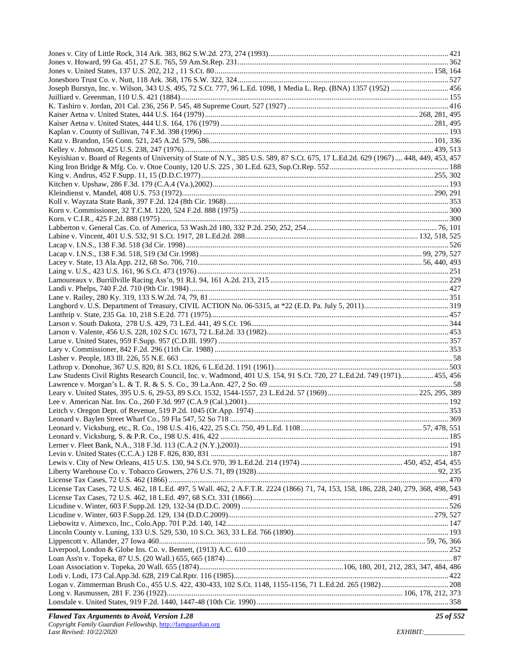| Joseph Burstyn, Inc. v. Wilson, 343 U.S. 495, 72 S.Ct. 777, 96 L.Ed. 1098, 1 Media L. Rep. (BNA) 1357 (1952)  456                     |  |
|---------------------------------------------------------------------------------------------------------------------------------------|--|
|                                                                                                                                       |  |
|                                                                                                                                       |  |
|                                                                                                                                       |  |
|                                                                                                                                       |  |
|                                                                                                                                       |  |
|                                                                                                                                       |  |
|                                                                                                                                       |  |
| Keyishian v. Board of Regents of University of State of N.Y., 385 U.S. 589, 87 S.Ct. 675, 17 L.Ed.2d. 629 (1967)  448, 449, 453, 457  |  |
|                                                                                                                                       |  |
|                                                                                                                                       |  |
|                                                                                                                                       |  |
|                                                                                                                                       |  |
|                                                                                                                                       |  |
|                                                                                                                                       |  |
|                                                                                                                                       |  |
|                                                                                                                                       |  |
|                                                                                                                                       |  |
|                                                                                                                                       |  |
|                                                                                                                                       |  |
|                                                                                                                                       |  |
|                                                                                                                                       |  |
|                                                                                                                                       |  |
|                                                                                                                                       |  |
|                                                                                                                                       |  |
|                                                                                                                                       |  |
|                                                                                                                                       |  |
|                                                                                                                                       |  |
|                                                                                                                                       |  |
|                                                                                                                                       |  |
|                                                                                                                                       |  |
|                                                                                                                                       |  |
|                                                                                                                                       |  |
| Law Students Civil Rights Research Council, Inc. v. Wadmond, 401 U.S. 154, 91 S.Ct. 720, 27 L.Ed.2d. 749 (1971) 455, 456              |  |
|                                                                                                                                       |  |
|                                                                                                                                       |  |
|                                                                                                                                       |  |
|                                                                                                                                       |  |
|                                                                                                                                       |  |
|                                                                                                                                       |  |
|                                                                                                                                       |  |
|                                                                                                                                       |  |
|                                                                                                                                       |  |
|                                                                                                                                       |  |
|                                                                                                                                       |  |
| License Tax Cases, 72 U.S. 462, 18 L.Ed. 497, 5 Wall. 462, 2 A.F.T.R. 2224 (1866) 71, 74, 153, 158, 186, 228, 240, 279, 368, 498, 543 |  |
|                                                                                                                                       |  |
|                                                                                                                                       |  |
|                                                                                                                                       |  |
|                                                                                                                                       |  |
|                                                                                                                                       |  |
|                                                                                                                                       |  |
|                                                                                                                                       |  |
|                                                                                                                                       |  |
|                                                                                                                                       |  |
|                                                                                                                                       |  |
|                                                                                                                                       |  |
|                                                                                                                                       |  |
|                                                                                                                                       |  |
|                                                                                                                                       |  |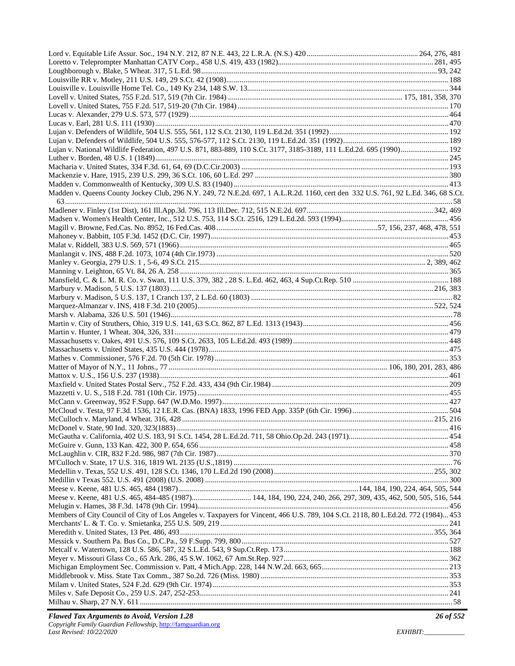| Lujan v. National Wildlife Federation, 497 U.S. 871, 883-889, 110 S.Ct. 3177, 3185-3189, 111 L.Ed.2d. 695 (1990) 192              |  |
|-----------------------------------------------------------------------------------------------------------------------------------|--|
|                                                                                                                                   |  |
|                                                                                                                                   |  |
|                                                                                                                                   |  |
|                                                                                                                                   |  |
| Madden v. Queens County Jockey Club, 296 N.Y. 249, 72 N.E.2d. 697, 1 A.L.R.2d. 1160, cert den 332 U.S. 761, 92 L.Ed. 346, 68 S.Ct |  |
|                                                                                                                                   |  |
|                                                                                                                                   |  |
|                                                                                                                                   |  |
|                                                                                                                                   |  |
|                                                                                                                                   |  |
|                                                                                                                                   |  |
|                                                                                                                                   |  |
|                                                                                                                                   |  |
|                                                                                                                                   |  |
|                                                                                                                                   |  |
|                                                                                                                                   |  |
|                                                                                                                                   |  |
|                                                                                                                                   |  |
|                                                                                                                                   |  |
|                                                                                                                                   |  |
|                                                                                                                                   |  |
|                                                                                                                                   |  |
|                                                                                                                                   |  |
|                                                                                                                                   |  |
|                                                                                                                                   |  |
|                                                                                                                                   |  |
|                                                                                                                                   |  |
|                                                                                                                                   |  |
|                                                                                                                                   |  |
|                                                                                                                                   |  |
|                                                                                                                                   |  |
|                                                                                                                                   |  |
|                                                                                                                                   |  |
|                                                                                                                                   |  |
|                                                                                                                                   |  |
|                                                                                                                                   |  |
|                                                                                                                                   |  |
|                                                                                                                                   |  |
|                                                                                                                                   |  |
|                                                                                                                                   |  |
|                                                                                                                                   |  |
|                                                                                                                                   |  |
| Members of City Council of City of Los Angeles v. Taxpayers for Vincent, 466 U.S. 789, 104 S.Ct. 2118, 80 L.Ed.2d. 772 (1984) 453 |  |
|                                                                                                                                   |  |
|                                                                                                                                   |  |
|                                                                                                                                   |  |
|                                                                                                                                   |  |
|                                                                                                                                   |  |
|                                                                                                                                   |  |
|                                                                                                                                   |  |
|                                                                                                                                   |  |
|                                                                                                                                   |  |
|                                                                                                                                   |  |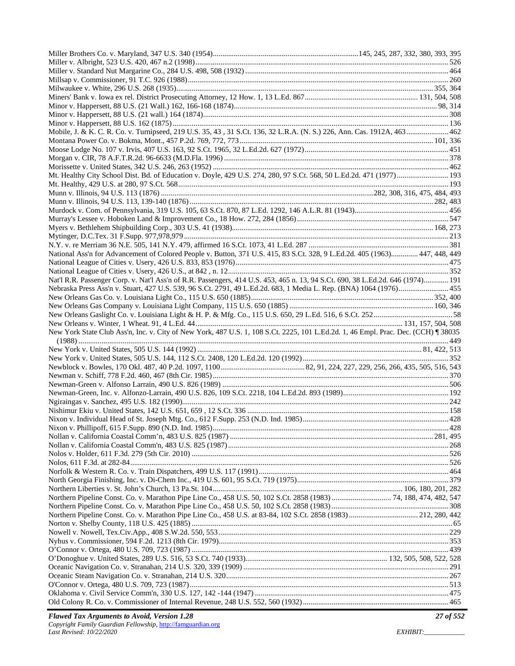| Mobile, J. & K. C. R. Co. v. Turnipseed, 219 U.S. 35, 43, 31 S.Ct. 136, 32 L.R.A. (N. S.) 226, Ann. Cas. 1912A, 463 462           |  |
|-----------------------------------------------------------------------------------------------------------------------------------|--|
|                                                                                                                                   |  |
|                                                                                                                                   |  |
|                                                                                                                                   |  |
|                                                                                                                                   |  |
| Mt. Healthy City School Dist. Bd. of Education v. Doyle, 429 U.S. 274, 280, 97 S.Ct. 568, 50 L.Ed.2d. 471 (1977) 193              |  |
|                                                                                                                                   |  |
|                                                                                                                                   |  |
|                                                                                                                                   |  |
|                                                                                                                                   |  |
|                                                                                                                                   |  |
|                                                                                                                                   |  |
|                                                                                                                                   |  |
|                                                                                                                                   |  |
| National Ass'n for Advancement of Colored People v. Button, 371 U.S. 415, 83 S.Ct. 328, 9 L.Ed.2d. 405 (1963) 447, 448, 449       |  |
|                                                                                                                                   |  |
|                                                                                                                                   |  |
| Nat'l R.R. Passenger Corp. v. Nat'l Ass'n of R.R. Passengers, 414 U.S. 453, 465 n. 13, 94 S.Ct. 690, 38 L.Ed.2d. 646 (1974) 191   |  |
| Nebraska Press Ass'n v. Stuart, 427 U.S. 539, 96 S.Ct. 2791, 49 L.Ed.2d. 683, 1 Media L. Rep. (BNA) 1064 (1976) 455               |  |
|                                                                                                                                   |  |
|                                                                                                                                   |  |
|                                                                                                                                   |  |
|                                                                                                                                   |  |
| New York State Club Ass'n, Inc. v. City of New York, 487 U.S. 1, 108 S.Ct. 2225, 101 L.Ed.2d. 1, 46 Empl. Prac. Dec. (CCH) 138035 |  |
|                                                                                                                                   |  |
|                                                                                                                                   |  |
|                                                                                                                                   |  |
|                                                                                                                                   |  |
|                                                                                                                                   |  |
|                                                                                                                                   |  |
|                                                                                                                                   |  |
|                                                                                                                                   |  |
|                                                                                                                                   |  |
|                                                                                                                                   |  |
|                                                                                                                                   |  |
|                                                                                                                                   |  |
|                                                                                                                                   |  |
|                                                                                                                                   |  |
|                                                                                                                                   |  |
|                                                                                                                                   |  |
|                                                                                                                                   |  |
|                                                                                                                                   |  |
|                                                                                                                                   |  |
|                                                                                                                                   |  |
|                                                                                                                                   |  |
|                                                                                                                                   |  |
|                                                                                                                                   |  |
|                                                                                                                                   |  |
|                                                                                                                                   |  |
|                                                                                                                                   |  |
|                                                                                                                                   |  |
|                                                                                                                                   |  |
|                                                                                                                                   |  |
|                                                                                                                                   |  |
|                                                                                                                                   |  |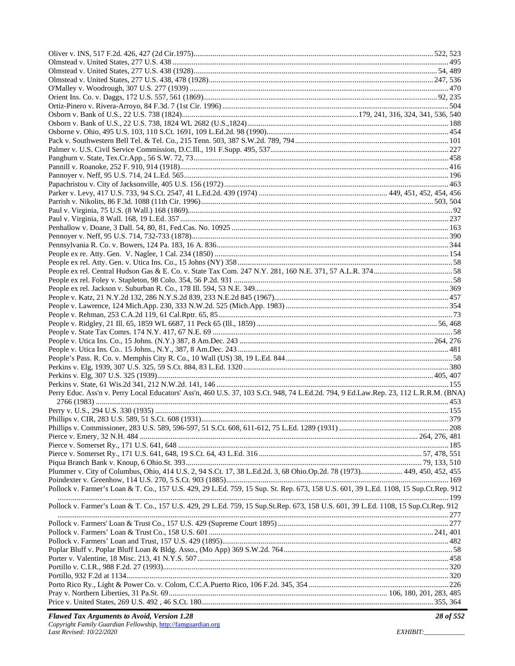| Perry Educ. Ass'n v. Perry Local Educators' Ass'n, 460 U.S. 37, 103 S.Ct. 948, 74 L.Ed.2d. 794, 9 Ed.Law.Rep. 23, 112 L.R.R.M. (BNA) |  |
|--------------------------------------------------------------------------------------------------------------------------------------|--|
|                                                                                                                                      |  |
|                                                                                                                                      |  |
|                                                                                                                                      |  |
|                                                                                                                                      |  |
|                                                                                                                                      |  |
|                                                                                                                                      |  |
|                                                                                                                                      |  |
|                                                                                                                                      |  |
| Plummer v. City of Columbus, Ohio, 414 U.S. 2, 94 S.Ct. 17, 38 L.Ed.2d. 3, 68 Ohio.Op.2d. 78 (1973) 449, 450, 452, 455               |  |
|                                                                                                                                      |  |
| Pollock v. Farmer's Loan & T. Co., 157 U.S. 429, 29 L.Ed. 759, 15 Sup. St. Rep. 673, 158 U.S. 601, 39 L.Ed. 1108, 15 Sup.Ct.Rep. 912 |  |
| Pollock v. Farmer's Loan & T. Co., 157 U.S. 429, 29 L.Ed. 759, 15 Sup.St.Rep. 673, 158 U.S. 601, 39 L.Ed. 1108, 15 Sup.Ct.Rep. 912   |  |
|                                                                                                                                      |  |
|                                                                                                                                      |  |
|                                                                                                                                      |  |
|                                                                                                                                      |  |
|                                                                                                                                      |  |
|                                                                                                                                      |  |
|                                                                                                                                      |  |
|                                                                                                                                      |  |
|                                                                                                                                      |  |
|                                                                                                                                      |  |
|                                                                                                                                      |  |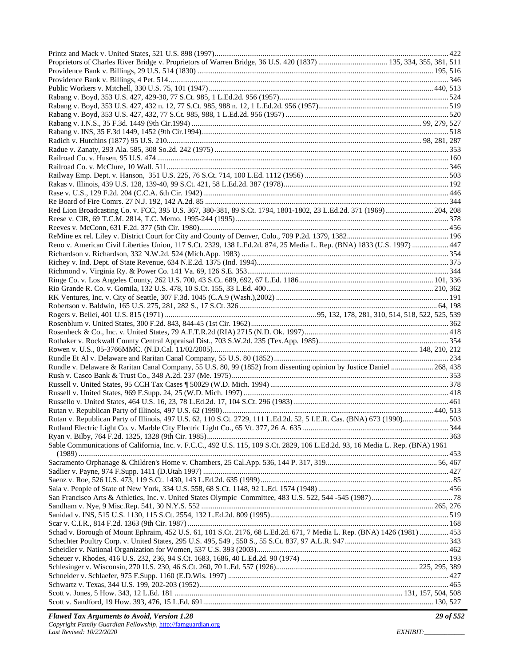| Red Lion Broadcasting Co. v. FCC, 395 U.S. 367, 380-381, 89 S.Ct. 1794, 1801-1802, 23 L.Ed.2d. 371 (1969) 204, 208             |  |
|--------------------------------------------------------------------------------------------------------------------------------|--|
|                                                                                                                                |  |
|                                                                                                                                |  |
|                                                                                                                                |  |
| Reno v. American Civil Liberties Union, 117 S.Ct. 2329, 138 L.Ed.2d. 874, 25 Media L. Rep. (BNA) 1833 (U.S. 1997)  447         |  |
|                                                                                                                                |  |
|                                                                                                                                |  |
|                                                                                                                                |  |
|                                                                                                                                |  |
|                                                                                                                                |  |
|                                                                                                                                |  |
|                                                                                                                                |  |
|                                                                                                                                |  |
|                                                                                                                                |  |
|                                                                                                                                |  |
|                                                                                                                                |  |
|                                                                                                                                |  |
|                                                                                                                                |  |
| Rundle v. Delaware & Raritan Canal Company, 55 U.S. 80, 99 (1852) from dissenting opinion by Justice Daniel  268, 438          |  |
|                                                                                                                                |  |
|                                                                                                                                |  |
|                                                                                                                                |  |
|                                                                                                                                |  |
|                                                                                                                                |  |
|                                                                                                                                |  |
|                                                                                                                                |  |
|                                                                                                                                |  |
| Sable Communications of California, Inc. v. F.C.C., 492 U.S. 115, 109 S.Ct. 2829, 106 L.Ed.2d. 93, 16 Media L. Rep. (BNA) 1961 |  |
|                                                                                                                                |  |
|                                                                                                                                |  |
|                                                                                                                                |  |
|                                                                                                                                |  |
|                                                                                                                                |  |
|                                                                                                                                |  |
|                                                                                                                                |  |
|                                                                                                                                |  |
|                                                                                                                                |  |
| Schad v. Borough of Mount Ephraim, 452 U.S. 61, 101 S.Ct. 2176, 68 L.Ed.2d. 671, 7 Media L. Rep. (BNA) 1426 (1981)  453        |  |
|                                                                                                                                |  |
|                                                                                                                                |  |
|                                                                                                                                |  |
|                                                                                                                                |  |
|                                                                                                                                |  |
|                                                                                                                                |  |
|                                                                                                                                |  |
|                                                                                                                                |  |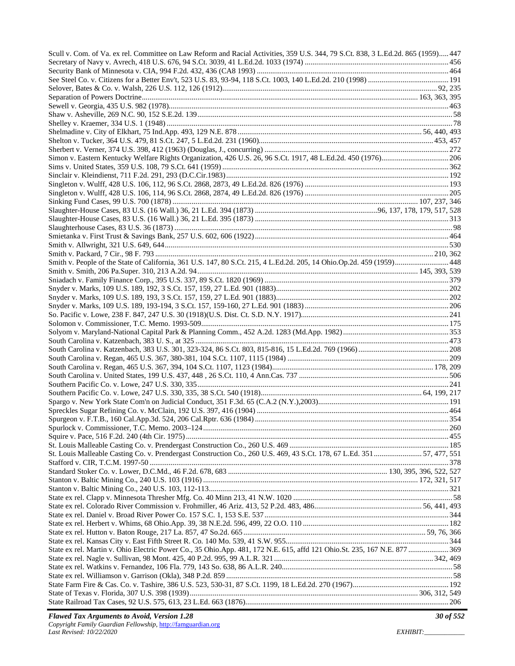| Scull v. Com. of Va. ex rel. Committee on Law Reform and Racial Activities, 359 U.S. 344, 79 S.Ct. 838, 3 L.Ed.2d. 865 (1959) 447 |  |
|-----------------------------------------------------------------------------------------------------------------------------------|--|
|                                                                                                                                   |  |
|                                                                                                                                   |  |
|                                                                                                                                   |  |
|                                                                                                                                   |  |
|                                                                                                                                   |  |
|                                                                                                                                   |  |
|                                                                                                                                   |  |
|                                                                                                                                   |  |
|                                                                                                                                   |  |
|                                                                                                                                   |  |
|                                                                                                                                   |  |
|                                                                                                                                   |  |
|                                                                                                                                   |  |
|                                                                                                                                   |  |
|                                                                                                                                   |  |
|                                                                                                                                   |  |
|                                                                                                                                   |  |
|                                                                                                                                   |  |
|                                                                                                                                   |  |
|                                                                                                                                   |  |
|                                                                                                                                   |  |
|                                                                                                                                   |  |
| Smith v. People of the State of California, 361 U.S. 147, 80 S.Ct. 215, 4 L.Ed.2d. 205, 14 Ohio.Op.2d. 459 (1959) 448             |  |
|                                                                                                                                   |  |
|                                                                                                                                   |  |
|                                                                                                                                   |  |
|                                                                                                                                   |  |
|                                                                                                                                   |  |
|                                                                                                                                   |  |
|                                                                                                                                   |  |
|                                                                                                                                   |  |
|                                                                                                                                   |  |
|                                                                                                                                   |  |
|                                                                                                                                   |  |
|                                                                                                                                   |  |
|                                                                                                                                   |  |
|                                                                                                                                   |  |
|                                                                                                                                   |  |
|                                                                                                                                   |  |
|                                                                                                                                   |  |
|                                                                                                                                   |  |
|                                                                                                                                   |  |
|                                                                                                                                   |  |
| St. Louis Malleable Casting Co. v. Prendergast Construction Co., 260 U.S. 469, 43 S.Ct. 178, 67 L.Ed. 351  57, 477, 551           |  |
|                                                                                                                                   |  |
|                                                                                                                                   |  |
|                                                                                                                                   |  |
|                                                                                                                                   |  |
|                                                                                                                                   |  |
|                                                                                                                                   |  |
|                                                                                                                                   |  |
|                                                                                                                                   |  |
|                                                                                                                                   |  |
|                                                                                                                                   |  |
| State ex rel. Martin v. Ohio Electric Power Co., 35 Ohio.App. 481, 172 N.E. 615, affd 121 Ohio.St. 235, 167 N.E. 877  369         |  |
|                                                                                                                                   |  |
|                                                                                                                                   |  |
|                                                                                                                                   |  |
|                                                                                                                                   |  |
|                                                                                                                                   |  |
|                                                                                                                                   |  |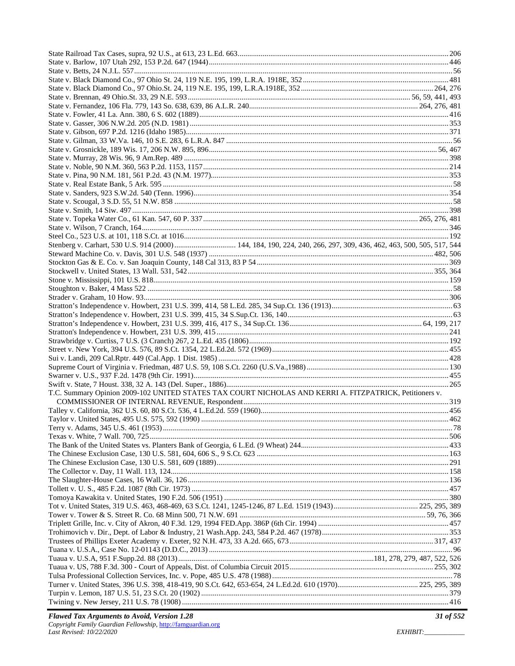| T.C. Summary Opinion 2009-102 UNITED STATES TAX COURT NICHOLAS AND KERRI A. FITZPATRICK, Petitioners v. |  |
|---------------------------------------------------------------------------------------------------------|--|
|                                                                                                         |  |
|                                                                                                         |  |
|                                                                                                         |  |
|                                                                                                         |  |
|                                                                                                         |  |
|                                                                                                         |  |
|                                                                                                         |  |
|                                                                                                         |  |
|                                                                                                         |  |
|                                                                                                         |  |
|                                                                                                         |  |
|                                                                                                         |  |
|                                                                                                         |  |
|                                                                                                         |  |
|                                                                                                         |  |
|                                                                                                         |  |
|                                                                                                         |  |
|                                                                                                         |  |
|                                                                                                         |  |
|                                                                                                         |  |
|                                                                                                         |  |
|                                                                                                         |  |
|                                                                                                         |  |
|                                                                                                         |  |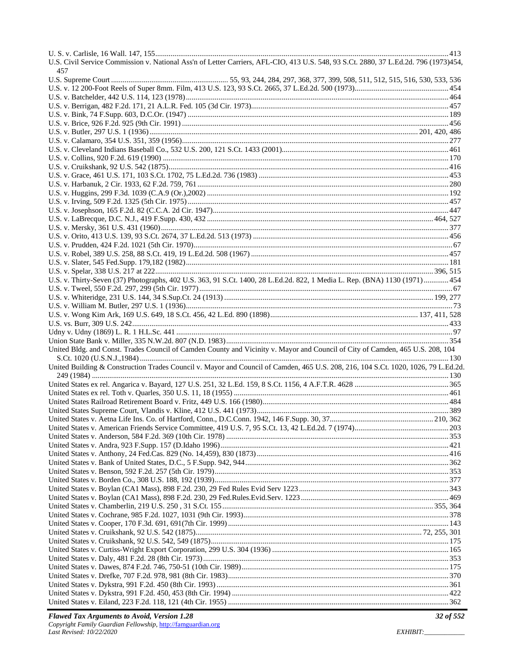| U.S. Civil Service Commission v. National Ass'n of Letter Carriers, AFL-CIO, 413 U.S. 548, 93 S.Ct. 2880, 37 L.Ed.2d. 796 (1973)454, |  |
|--------------------------------------------------------------------------------------------------------------------------------------|--|
| 457                                                                                                                                  |  |
|                                                                                                                                      |  |
|                                                                                                                                      |  |
|                                                                                                                                      |  |
|                                                                                                                                      |  |
|                                                                                                                                      |  |
|                                                                                                                                      |  |
|                                                                                                                                      |  |
|                                                                                                                                      |  |
|                                                                                                                                      |  |
|                                                                                                                                      |  |
|                                                                                                                                      |  |
|                                                                                                                                      |  |
|                                                                                                                                      |  |
|                                                                                                                                      |  |
|                                                                                                                                      |  |
|                                                                                                                                      |  |
|                                                                                                                                      |  |
|                                                                                                                                      |  |
|                                                                                                                                      |  |
|                                                                                                                                      |  |
|                                                                                                                                      |  |
|                                                                                                                                      |  |
|                                                                                                                                      |  |
|                                                                                                                                      |  |
|                                                                                                                                      |  |
| U.S. v. Thirty-Seven (37) Photographs, 402 U.S. 363, 91 S.Ct. 1400, 28 L.Ed.2d. 822, 1 Media L. Rep. (BNA) 1130 (1971) 454           |  |
|                                                                                                                                      |  |
|                                                                                                                                      |  |
|                                                                                                                                      |  |
|                                                                                                                                      |  |
|                                                                                                                                      |  |
|                                                                                                                                      |  |
|                                                                                                                                      |  |
| United Bldg. and Const. Trades Council of Camden County and Vicinity v. Mayor and Council of City of Camden, 465 U.S. 208, 104       |  |
|                                                                                                                                      |  |
| United Building & Construction Trades Council v. Mayor and Council of Camden, 465 U.S. 208, 216, 104 S.Ct. 1020, 1026, 79 L.Ed.2d.   |  |
|                                                                                                                                      |  |
|                                                                                                                                      |  |
|                                                                                                                                      |  |
|                                                                                                                                      |  |
|                                                                                                                                      |  |
|                                                                                                                                      |  |
|                                                                                                                                      |  |
|                                                                                                                                      |  |
|                                                                                                                                      |  |
|                                                                                                                                      |  |
|                                                                                                                                      |  |
|                                                                                                                                      |  |
|                                                                                                                                      |  |
|                                                                                                                                      |  |
|                                                                                                                                      |  |
|                                                                                                                                      |  |
|                                                                                                                                      |  |
|                                                                                                                                      |  |
|                                                                                                                                      |  |
|                                                                                                                                      |  |
|                                                                                                                                      |  |
|                                                                                                                                      |  |
|                                                                                                                                      |  |
|                                                                                                                                      |  |
|                                                                                                                                      |  |
|                                                                                                                                      |  |
|                                                                                                                                      |  |
|                                                                                                                                      |  |
|                                                                                                                                      |  |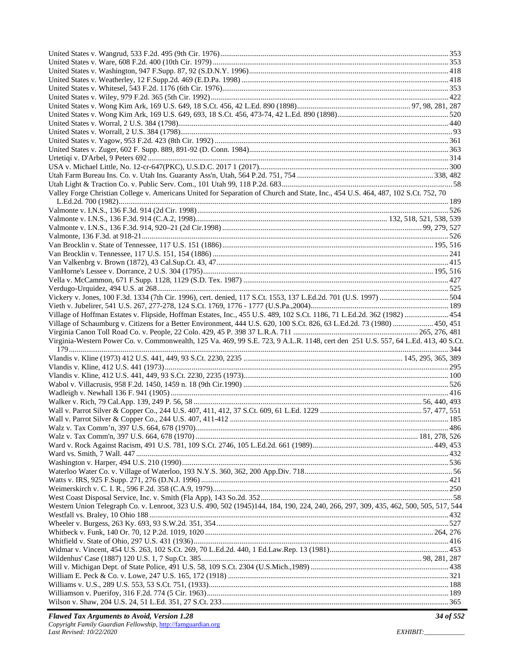| Valley Forge Christian College v. Americans United for Separation of Church and State, Inc., 454 U.S. 464, 487, 102 S.Ct. 752, 70    |  |
|--------------------------------------------------------------------------------------------------------------------------------------|--|
|                                                                                                                                      |  |
|                                                                                                                                      |  |
|                                                                                                                                      |  |
|                                                                                                                                      |  |
|                                                                                                                                      |  |
|                                                                                                                                      |  |
|                                                                                                                                      |  |
|                                                                                                                                      |  |
|                                                                                                                                      |  |
|                                                                                                                                      |  |
|                                                                                                                                      |  |
|                                                                                                                                      |  |
|                                                                                                                                      |  |
|                                                                                                                                      |  |
|                                                                                                                                      |  |
|                                                                                                                                      |  |
| Village of Hoffman Estates v. Flipside, Hoffman Estates, Inc., 455 U.S. 489, 102 S.Ct. 1186, 71 L.Ed.2d. 362 (1982)  454             |  |
| Village of Schaumburg v. Citizens for a Better Environment, 444 U.S. 620, 100 S.Ct. 826, 63 L.Ed.2d. 73 (1980)  450, 451             |  |
|                                                                                                                                      |  |
| Virginia-Western Power Co. v. Commonwealth, 125 Va. 469, 99 S.E. 723, 9 A.L.R. 1148, cert den 251 U.S. 557, 64 L.Ed. 413, 40 S.Ct.   |  |
|                                                                                                                                      |  |
|                                                                                                                                      |  |
|                                                                                                                                      |  |
|                                                                                                                                      |  |
|                                                                                                                                      |  |
|                                                                                                                                      |  |
|                                                                                                                                      |  |
|                                                                                                                                      |  |
|                                                                                                                                      |  |
|                                                                                                                                      |  |
|                                                                                                                                      |  |
|                                                                                                                                      |  |
|                                                                                                                                      |  |
|                                                                                                                                      |  |
|                                                                                                                                      |  |
|                                                                                                                                      |  |
|                                                                                                                                      |  |
|                                                                                                                                      |  |
|                                                                                                                                      |  |
|                                                                                                                                      |  |
|                                                                                                                                      |  |
|                                                                                                                                      |  |
| Western Union Telegraph Co. v. Lenroot, 323 U.S. 490, 502 (1945)144, 184, 190, 224, 240, 266, 297, 309, 435, 462, 500, 505, 517, 544 |  |
|                                                                                                                                      |  |
|                                                                                                                                      |  |
|                                                                                                                                      |  |
|                                                                                                                                      |  |
|                                                                                                                                      |  |
|                                                                                                                                      |  |
|                                                                                                                                      |  |
|                                                                                                                                      |  |
|                                                                                                                                      |  |
|                                                                                                                                      |  |
|                                                                                                                                      |  |
|                                                                                                                                      |  |
|                                                                                                                                      |  |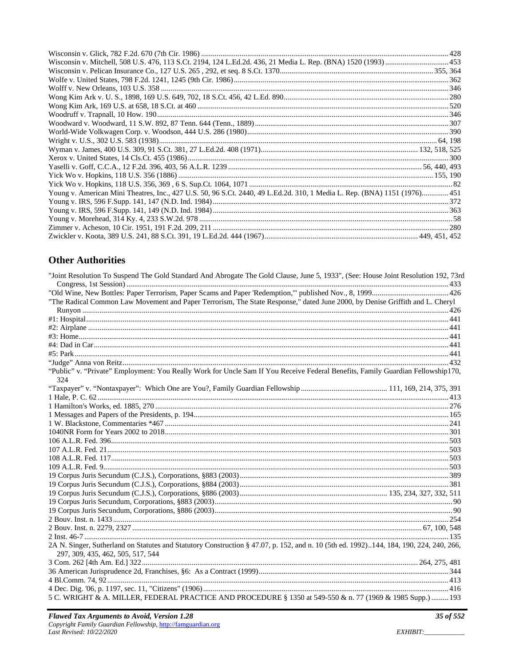| Wisconsin v. Mitchell, 508 U.S. 476, 113 S.Ct. 2194, 124 L.Ed.2d. 436, 21 Media L. Rep. (BNA) 1520 (1993)  453            |  |
|---------------------------------------------------------------------------------------------------------------------------|--|
|                                                                                                                           |  |
|                                                                                                                           |  |
|                                                                                                                           |  |
|                                                                                                                           |  |
|                                                                                                                           |  |
|                                                                                                                           |  |
|                                                                                                                           |  |
|                                                                                                                           |  |
|                                                                                                                           |  |
|                                                                                                                           |  |
|                                                                                                                           |  |
|                                                                                                                           |  |
|                                                                                                                           |  |
|                                                                                                                           |  |
| Young v. American Mini Theatres, Inc., 427 U.S. 50, 96 S.Ct. 2440, 49 L.Ed.2d. 310, 1 Media L. Rep. (BNA) 1151 (1976) 451 |  |
|                                                                                                                           |  |
|                                                                                                                           |  |
|                                                                                                                           |  |
|                                                                                                                           |  |
|                                                                                                                           |  |

# **Other Authorities**

| "Joint Resolution To Suspend The Gold Standard And Abrogate The Gold Clause, June 5, 1933", (See: House Joint Resolution 192, 73rd                                          |  |
|-----------------------------------------------------------------------------------------------------------------------------------------------------------------------------|--|
|                                                                                                                                                                             |  |
| "The Radical Common Law Movement and Paper Terrorism, The State Response," dated June 2000, by Denise Griffith and L. Cheryl                                                |  |
|                                                                                                                                                                             |  |
|                                                                                                                                                                             |  |
|                                                                                                                                                                             |  |
|                                                                                                                                                                             |  |
|                                                                                                                                                                             |  |
|                                                                                                                                                                             |  |
|                                                                                                                                                                             |  |
| "Public" v. "Private" Employment: You Really Work for Uncle Sam If You Receive Federal Benefits, Family Guardian Fellowship170,                                             |  |
| 324                                                                                                                                                                         |  |
|                                                                                                                                                                             |  |
|                                                                                                                                                                             |  |
|                                                                                                                                                                             |  |
|                                                                                                                                                                             |  |
|                                                                                                                                                                             |  |
|                                                                                                                                                                             |  |
|                                                                                                                                                                             |  |
|                                                                                                                                                                             |  |
|                                                                                                                                                                             |  |
|                                                                                                                                                                             |  |
|                                                                                                                                                                             |  |
|                                                                                                                                                                             |  |
|                                                                                                                                                                             |  |
|                                                                                                                                                                             |  |
|                                                                                                                                                                             |  |
|                                                                                                                                                                             |  |
|                                                                                                                                                                             |  |
|                                                                                                                                                                             |  |
| 2A N. Singer, Sutherland on Statutes and Statutory Construction § 47.07, p. 152, and n. 10 (5th ed. 1992)144, 184, 190, 224, 240, 266,<br>297, 309, 435, 462, 505, 517, 544 |  |
|                                                                                                                                                                             |  |
|                                                                                                                                                                             |  |
|                                                                                                                                                                             |  |
|                                                                                                                                                                             |  |
| 5 C. WRIGHT & A. MILLER, FEDERAL PRACTICE AND PROCEDURE § 1350 at 549-550 & n. 77 (1969 & 1985 Supp.)  193                                                                  |  |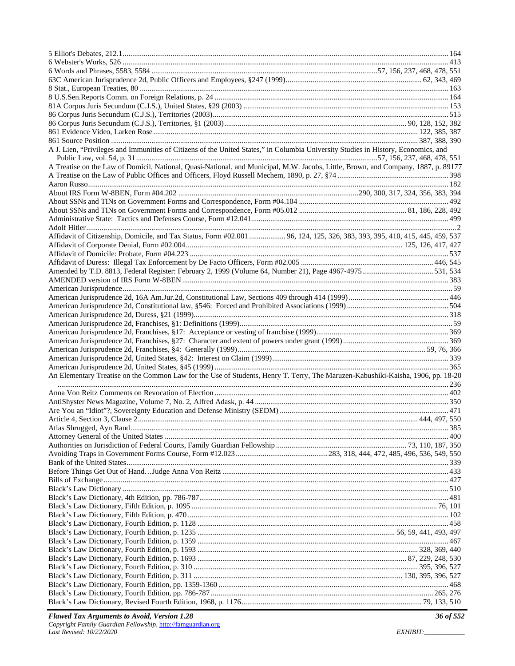| A J. Lien, "Privileges and Immunities of Citizens of the United States," in Columbia University Studies in History, Economics, and |  |
|------------------------------------------------------------------------------------------------------------------------------------|--|
|                                                                                                                                    |  |
| A Treatise on the Law of Domicil, National, Quasi-National, and Municipal, M.W. Jacobs, Little, Brown, and Company, 1887, p. 89177 |  |
|                                                                                                                                    |  |
|                                                                                                                                    |  |
|                                                                                                                                    |  |
|                                                                                                                                    |  |
|                                                                                                                                    |  |
|                                                                                                                                    |  |
|                                                                                                                                    |  |
| Affidavit of Citizenship, Domicile, and Tax Status, Form #02.001  96, 124, 125, 326, 383, 393, 395, 410, 415, 445, 459, 537        |  |
|                                                                                                                                    |  |
|                                                                                                                                    |  |
|                                                                                                                                    |  |
|                                                                                                                                    |  |
|                                                                                                                                    |  |
|                                                                                                                                    |  |
|                                                                                                                                    |  |
|                                                                                                                                    |  |
|                                                                                                                                    |  |
|                                                                                                                                    |  |
|                                                                                                                                    |  |
|                                                                                                                                    |  |
|                                                                                                                                    |  |
|                                                                                                                                    |  |
|                                                                                                                                    |  |
| An Elementary Treatise on the Common Law for the Use of Students, Henry T. Terry, The Maruzen-Kabushiki-Kaisha, 1906, pp. 18-20    |  |
|                                                                                                                                    |  |
|                                                                                                                                    |  |
|                                                                                                                                    |  |
|                                                                                                                                    |  |
|                                                                                                                                    |  |
|                                                                                                                                    |  |
|                                                                                                                                    |  |
|                                                                                                                                    |  |
|                                                                                                                                    |  |
|                                                                                                                                    |  |
|                                                                                                                                    |  |
|                                                                                                                                    |  |
|                                                                                                                                    |  |
|                                                                                                                                    |  |
|                                                                                                                                    |  |
|                                                                                                                                    |  |
|                                                                                                                                    |  |
|                                                                                                                                    |  |
|                                                                                                                                    |  |
|                                                                                                                                    |  |
|                                                                                                                                    |  |
|                                                                                                                                    |  |
|                                                                                                                                    |  |
|                                                                                                                                    |  |
|                                                                                                                                    |  |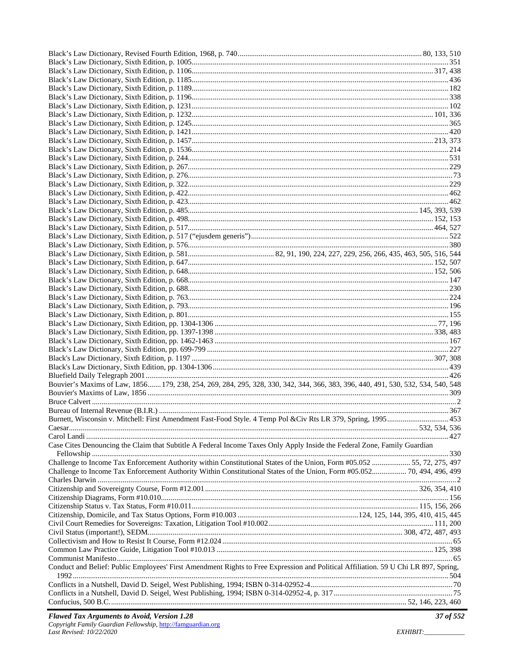| Bouvier's Maxims of Law, 1856 179, 238, 254, 269, 284, 295, 328, 330, 342, 344, 366, 383, 396, 440, 491, 530, 532, 534, 540, 548    |  |
|-------------------------------------------------------------------------------------------------------------------------------------|--|
|                                                                                                                                     |  |
|                                                                                                                                     |  |
| Burnett, Wisconsin v. Mitchell: First Amendment Fast-Food Style. 4 Temp Pol &Civ Rts LR 379, Spring, 1995 453                       |  |
|                                                                                                                                     |  |
|                                                                                                                                     |  |
| Case Cites Denouncing the Claim that Subtitle A Federal Income Taxes Only Apply Inside the Federal Zone, Family Guardian            |  |
|                                                                                                                                     |  |
| Challenge to Income Tax Enforcement Authority within Constitutional States of the Union, Form #05.052 55, 72, 275, 497              |  |
| Challenge to Income Tax Enforcement Authority Within Constitutional States of the Union, Form #05.052 70, 494, 496, 499             |  |
|                                                                                                                                     |  |
|                                                                                                                                     |  |
|                                                                                                                                     |  |
|                                                                                                                                     |  |
|                                                                                                                                     |  |
|                                                                                                                                     |  |
|                                                                                                                                     |  |
|                                                                                                                                     |  |
|                                                                                                                                     |  |
| Conduct and Belief: Public Employees' First Amendment Rights to Free Expression and Political Affiliation. 59 U Chi LR 897, Spring, |  |
|                                                                                                                                     |  |
|                                                                                                                                     |  |
|                                                                                                                                     |  |
|                                                                                                                                     |  |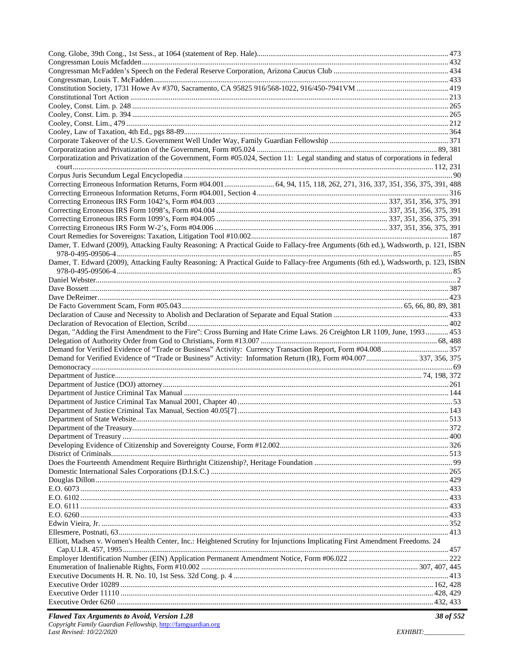| Corporatization and Privatization of the Government, Form #05.024, Section 11: Legal standing and status of corporations in federal |  |
|-------------------------------------------------------------------------------------------------------------------------------------|--|
|                                                                                                                                     |  |
|                                                                                                                                     |  |
| Correcting Erroneous Information Returns, Form #04.001  64, 94, 115, 118, 262, 271, 316, 337, 351, 356, 375, 391, 488               |  |
|                                                                                                                                     |  |
|                                                                                                                                     |  |
|                                                                                                                                     |  |
|                                                                                                                                     |  |
|                                                                                                                                     |  |
|                                                                                                                                     |  |
| Damer, T. Edward (2009), Attacking Faulty Reasoning: A Practical Guide to Fallacy-free Arguments (6th ed.), Wadsworth, p. 121, ISBN |  |
|                                                                                                                                     |  |
| Damer, T. Edward (2009), Attacking Faulty Reasoning: A Practical Guide to Fallacy-free Arguments (6th ed.), Wadsworth, p. 123, ISBN |  |
|                                                                                                                                     |  |
|                                                                                                                                     |  |
|                                                                                                                                     |  |
|                                                                                                                                     |  |
|                                                                                                                                     |  |
|                                                                                                                                     |  |
| Degan, "Adding the First Amendment to the Fire": Cross Burning and Hate Crime Laws. 26 Creighton LR 1109, June, 1993 453            |  |
|                                                                                                                                     |  |
|                                                                                                                                     |  |
|                                                                                                                                     |  |
|                                                                                                                                     |  |
|                                                                                                                                     |  |
|                                                                                                                                     |  |
|                                                                                                                                     |  |
|                                                                                                                                     |  |
|                                                                                                                                     |  |
|                                                                                                                                     |  |
|                                                                                                                                     |  |
|                                                                                                                                     |  |
|                                                                                                                                     |  |
|                                                                                                                                     |  |
|                                                                                                                                     |  |
|                                                                                                                                     |  |
|                                                                                                                                     |  |
|                                                                                                                                     |  |
|                                                                                                                                     |  |
|                                                                                                                                     |  |
|                                                                                                                                     |  |
|                                                                                                                                     |  |
|                                                                                                                                     |  |
|                                                                                                                                     |  |
| Elliott, Madsen v. Women's Health Center, Inc.: Heightened Scrutiny for Injunctions Implicating First Amendment Freedoms. 24        |  |
|                                                                                                                                     |  |
|                                                                                                                                     |  |
|                                                                                                                                     |  |
|                                                                                                                                     |  |
|                                                                                                                                     |  |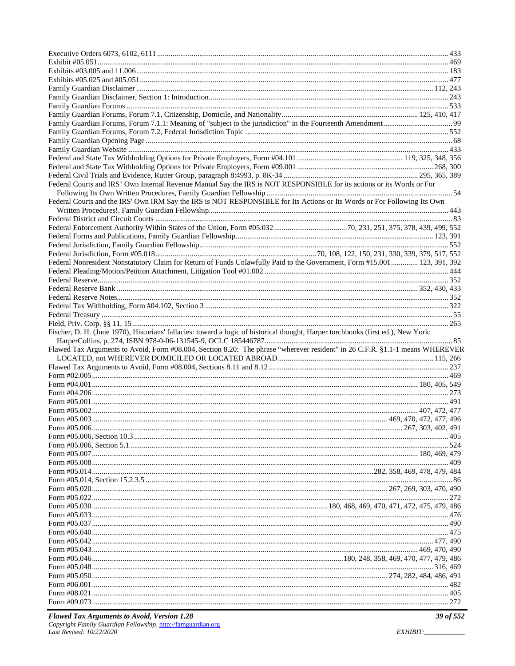| Federal Courts and IRS' Own Internal Revenue Manual Say the IRS is NOT RESPONSIBLE for its actions or its Words or For            |  |
|-----------------------------------------------------------------------------------------------------------------------------------|--|
|                                                                                                                                   |  |
| Federal Courts and the IRS' Own IRM Say the IRS is NOT RESPONSIBLE for Its Actions or Its Words or For Following Its Own          |  |
|                                                                                                                                   |  |
|                                                                                                                                   |  |
|                                                                                                                                   |  |
|                                                                                                                                   |  |
|                                                                                                                                   |  |
|                                                                                                                                   |  |
| Federal Nonresident Nonstatutory Claim for Return of Funds Unlawfully Paid to the Government, Form #15.001  123, 391, 392         |  |
|                                                                                                                                   |  |
|                                                                                                                                   |  |
|                                                                                                                                   |  |
|                                                                                                                                   |  |
|                                                                                                                                   |  |
|                                                                                                                                   |  |
|                                                                                                                                   |  |
|                                                                                                                                   |  |
| Fischer, D. H. (June 1970), Historians' fallacies: toward a logic of historical thought, Harper torchbooks (first ed.), New York: |  |
|                                                                                                                                   |  |
| Flawed Tax Arguments to Avoid, Form #08.004, Section 8.20: The phrase "wherever resident" in 26 C.F.R. §1.1-1 means WHEREVER      |  |
|                                                                                                                                   |  |
|                                                                                                                                   |  |
|                                                                                                                                   |  |
|                                                                                                                                   |  |
|                                                                                                                                   |  |
|                                                                                                                                   |  |
|                                                                                                                                   |  |
|                                                                                                                                   |  |
|                                                                                                                                   |  |
|                                                                                                                                   |  |
|                                                                                                                                   |  |
|                                                                                                                                   |  |
|                                                                                                                                   |  |
|                                                                                                                                   |  |
|                                                                                                                                   |  |
|                                                                                                                                   |  |
|                                                                                                                                   |  |
|                                                                                                                                   |  |
|                                                                                                                                   |  |
|                                                                                                                                   |  |
|                                                                                                                                   |  |
|                                                                                                                                   |  |
|                                                                                                                                   |  |
|                                                                                                                                   |  |
|                                                                                                                                   |  |
|                                                                                                                                   |  |
|                                                                                                                                   |  |
|                                                                                                                                   |  |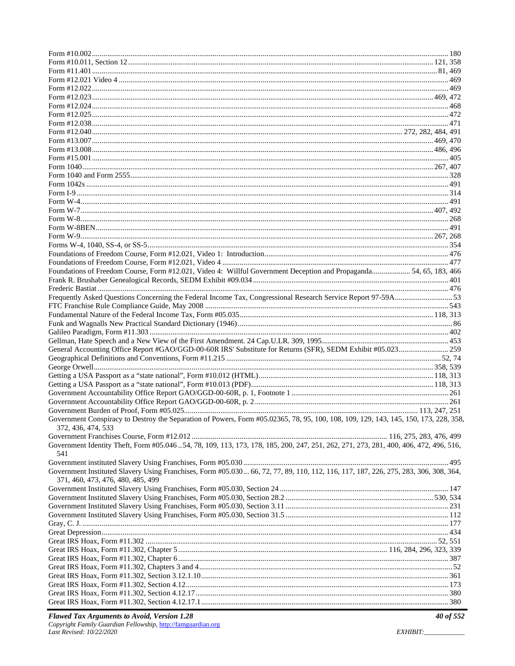| Foundations of Freedom Course, Form #12.021, Video 4: Willful Government Deception and Propaganda 54, 65, 183, 466                   |  |
|--------------------------------------------------------------------------------------------------------------------------------------|--|
|                                                                                                                                      |  |
|                                                                                                                                      |  |
|                                                                                                                                      |  |
|                                                                                                                                      |  |
|                                                                                                                                      |  |
|                                                                                                                                      |  |
|                                                                                                                                      |  |
|                                                                                                                                      |  |
| General Accounting Office Report #GAO/GGD-00-60R IRS' Substitute for Returns (SFR), SEDM Exhibit #05.023259                          |  |
|                                                                                                                                      |  |
|                                                                                                                                      |  |
|                                                                                                                                      |  |
|                                                                                                                                      |  |
|                                                                                                                                      |  |
|                                                                                                                                      |  |
|                                                                                                                                      |  |
| Government Conspiracy to Destroy the Separation of Powers, Form #05.02365, 78, 95, 100, 108, 109, 129, 143, 145, 150, 173, 228, 358, |  |
| 372, 436, 474, 533                                                                                                                   |  |
|                                                                                                                                      |  |
| Government Identity Theft, Form #05.046 54, 78, 109, 113, 173, 178, 185, 200, 247, 251, 262, 271, 273, 281, 400, 406, 472, 496, 516, |  |
| 541                                                                                                                                  |  |
|                                                                                                                                      |  |
| Government Instituted Slavery Using Franchises, Form #05.030 66, 72, 77, 89, 110, 112, 116, 117, 187, 226, 275, 283, 306, 308, 364,  |  |
| 371, 460, 473, 476, 480, 485, 499                                                                                                    |  |
|                                                                                                                                      |  |
|                                                                                                                                      |  |
|                                                                                                                                      |  |
|                                                                                                                                      |  |
|                                                                                                                                      |  |
|                                                                                                                                      |  |
|                                                                                                                                      |  |
|                                                                                                                                      |  |
|                                                                                                                                      |  |
|                                                                                                                                      |  |
|                                                                                                                                      |  |
|                                                                                                                                      |  |
|                                                                                                                                      |  |
|                                                                                                                                      |  |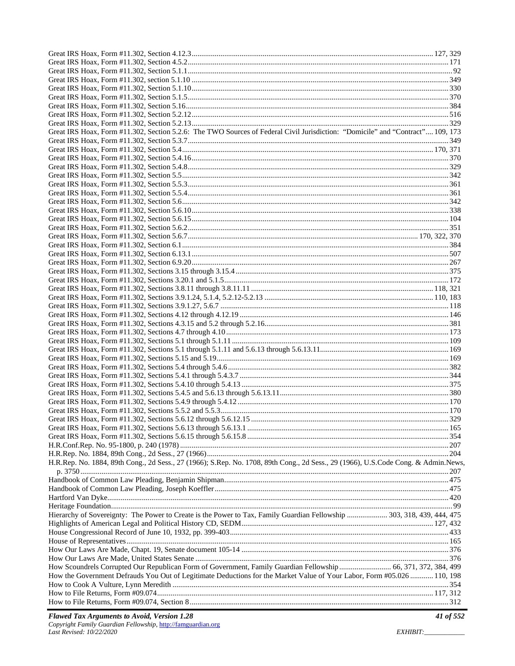| Great IRS Hoax, Form #11.302, Section 5.2.6: The TWO Sources of Federal Civil Jurisdiction: "Domicile" and "Contract" 109, 173     |  |
|------------------------------------------------------------------------------------------------------------------------------------|--|
|                                                                                                                                    |  |
|                                                                                                                                    |  |
|                                                                                                                                    |  |
|                                                                                                                                    |  |
|                                                                                                                                    |  |
|                                                                                                                                    |  |
|                                                                                                                                    |  |
|                                                                                                                                    |  |
|                                                                                                                                    |  |
|                                                                                                                                    |  |
|                                                                                                                                    |  |
|                                                                                                                                    |  |
|                                                                                                                                    |  |
|                                                                                                                                    |  |
|                                                                                                                                    |  |
|                                                                                                                                    |  |
|                                                                                                                                    |  |
|                                                                                                                                    |  |
|                                                                                                                                    |  |
|                                                                                                                                    |  |
|                                                                                                                                    |  |
|                                                                                                                                    |  |
|                                                                                                                                    |  |
|                                                                                                                                    |  |
|                                                                                                                                    |  |
|                                                                                                                                    |  |
|                                                                                                                                    |  |
|                                                                                                                                    |  |
|                                                                                                                                    |  |
|                                                                                                                                    |  |
|                                                                                                                                    |  |
|                                                                                                                                    |  |
|                                                                                                                                    |  |
|                                                                                                                                    |  |
|                                                                                                                                    |  |
|                                                                                                                                    |  |
|                                                                                                                                    |  |
| H.R.Rep. No. 1884, 89th Cong., 2d Sess., 27 (1966); S.Rep. No. 1708, 89th Cong., 2d Sess., 29 (1966), U.S.Code Cong. & Admin.News, |  |
|                                                                                                                                    |  |
|                                                                                                                                    |  |
|                                                                                                                                    |  |
|                                                                                                                                    |  |
|                                                                                                                                    |  |
| Hierarchy of Sovereignty: The Power to Create is the Power to Tax, Family Guardian Fellowship  303, 318, 439, 444, 475             |  |
|                                                                                                                                    |  |
|                                                                                                                                    |  |
|                                                                                                                                    |  |
|                                                                                                                                    |  |
|                                                                                                                                    |  |
| How Scoundrels Corrupted Our Republican Form of Government, Family Guardian Fellowship 66, 371, 372, 384, 499                      |  |
| How the Government Defrauds You Out of Legitimate Deductions for the Market Value of Your Labor, Form #05.026  110, 198            |  |
|                                                                                                                                    |  |
|                                                                                                                                    |  |
|                                                                                                                                    |  |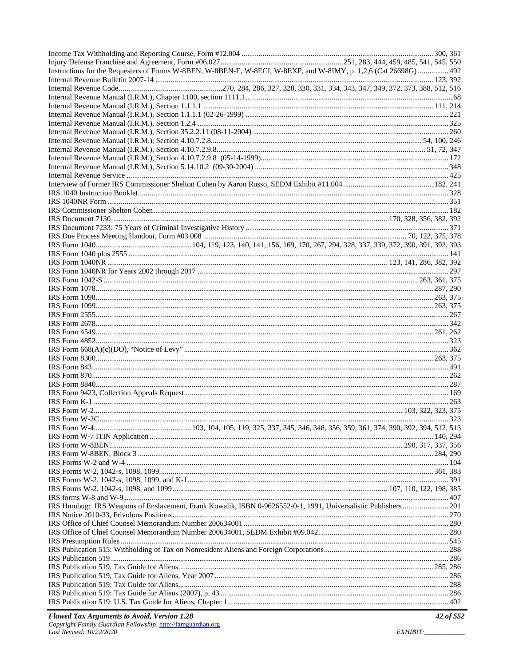| Instructions for the Requesters of Forms W-8BEN, W-8BEN-E, W-8ECI, W-8EXP, and W-8IMY, p. 1,2,6 (Cat 26698G)  492 |  |  |
|-------------------------------------------------------------------------------------------------------------------|--|--|
|                                                                                                                   |  |  |
|                                                                                                                   |  |  |
|                                                                                                                   |  |  |
|                                                                                                                   |  |  |
|                                                                                                                   |  |  |
|                                                                                                                   |  |  |
|                                                                                                                   |  |  |
|                                                                                                                   |  |  |
|                                                                                                                   |  |  |
|                                                                                                                   |  |  |
|                                                                                                                   |  |  |
|                                                                                                                   |  |  |
|                                                                                                                   |  |  |
|                                                                                                                   |  |  |
|                                                                                                                   |  |  |
|                                                                                                                   |  |  |
|                                                                                                                   |  |  |
|                                                                                                                   |  |  |
|                                                                                                                   |  |  |
|                                                                                                                   |  |  |
|                                                                                                                   |  |  |
|                                                                                                                   |  |  |
|                                                                                                                   |  |  |
|                                                                                                                   |  |  |
|                                                                                                                   |  |  |
|                                                                                                                   |  |  |
|                                                                                                                   |  |  |
|                                                                                                                   |  |  |
|                                                                                                                   |  |  |
|                                                                                                                   |  |  |
|                                                                                                                   |  |  |
|                                                                                                                   |  |  |
|                                                                                                                   |  |  |
|                                                                                                                   |  |  |
|                                                                                                                   |  |  |
|                                                                                                                   |  |  |
|                                                                                                                   |  |  |
|                                                                                                                   |  |  |
|                                                                                                                   |  |  |
|                                                                                                                   |  |  |
|                                                                                                                   |  |  |
|                                                                                                                   |  |  |
|                                                                                                                   |  |  |
|                                                                                                                   |  |  |
|                                                                                                                   |  |  |
|                                                                                                                   |  |  |
|                                                                                                                   |  |  |
|                                                                                                                   |  |  |
|                                                                                                                   |  |  |
| IRS Humbug: IRS Weapons of Enslavement, Frank Kowalik, ISBN 0-9626552-0-1, 1991, Universalistic Publishers201     |  |  |
|                                                                                                                   |  |  |
|                                                                                                                   |  |  |
|                                                                                                                   |  |  |
|                                                                                                                   |  |  |
|                                                                                                                   |  |  |
|                                                                                                                   |  |  |
|                                                                                                                   |  |  |
|                                                                                                                   |  |  |
|                                                                                                                   |  |  |
|                                                                                                                   |  |  |
|                                                                                                                   |  |  |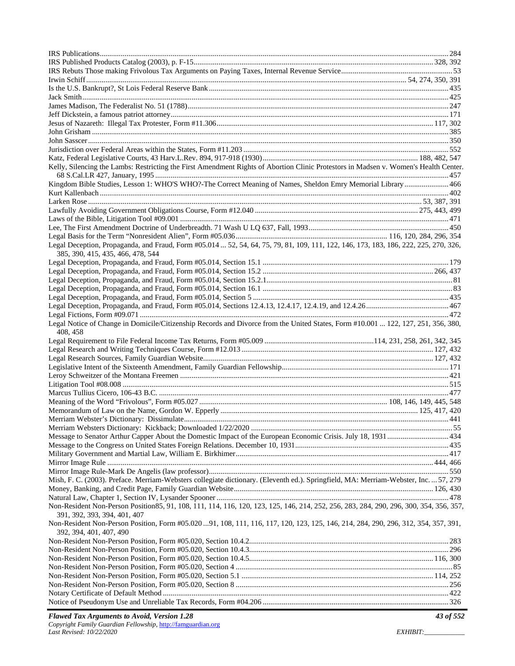| Kelly, Silencing the Lambs: Restricting the First Amendment Rights of Abortion Clinic Protestors in Madsen v. Women's Health Center.                                      |  |
|---------------------------------------------------------------------------------------------------------------------------------------------------------------------------|--|
|                                                                                                                                                                           |  |
| Kingdom Bible Studies, Lesson 1: WHO'S WHO?-The Correct Meaning of Names, Sheldon Emry Memorial Library  466                                                              |  |
|                                                                                                                                                                           |  |
|                                                                                                                                                                           |  |
|                                                                                                                                                                           |  |
|                                                                                                                                                                           |  |
|                                                                                                                                                                           |  |
|                                                                                                                                                                           |  |
| Legal Deception, Propaganda, and Fraud, Form #05.014  52, 54, 64, 75, 79, 81, 109, 111, 122, 146, 173, 183, 186, 222, 225, 270, 326,<br>385, 390, 415, 435, 466, 478, 544 |  |
|                                                                                                                                                                           |  |
|                                                                                                                                                                           |  |
|                                                                                                                                                                           |  |
|                                                                                                                                                                           |  |
|                                                                                                                                                                           |  |
|                                                                                                                                                                           |  |
|                                                                                                                                                                           |  |
| Legal Notice of Change in Domicile/Citizenship Records and Divorce from the United States, Form #10.001  122, 127, 251, 356, 380,                                         |  |
|                                                                                                                                                                           |  |
| 408, 458                                                                                                                                                                  |  |
|                                                                                                                                                                           |  |
|                                                                                                                                                                           |  |
|                                                                                                                                                                           |  |
|                                                                                                                                                                           |  |
|                                                                                                                                                                           |  |
|                                                                                                                                                                           |  |
|                                                                                                                                                                           |  |
|                                                                                                                                                                           |  |
|                                                                                                                                                                           |  |
|                                                                                                                                                                           |  |
| Message to Senator Arthur Capper About the Domestic Impact of the European Economic Crisis. July 18, 1931  434                                                            |  |
|                                                                                                                                                                           |  |
|                                                                                                                                                                           |  |
|                                                                                                                                                                           |  |
|                                                                                                                                                                           |  |
| Mish, F. C. (2003). Preface. Merriam-Websters collegiate dictionary. (Eleventh ed.). Springfield, MA: Merriam-Webster, Inc.  57, 279                                      |  |
|                                                                                                                                                                           |  |
| Non-Resident Non-Person Position 85, 91, 108, 111, 114, 116, 120, 123, 125, 146, 214, 252, 256, 283, 284, 290, 296, 300, 354, 356, 357,                                   |  |
| 391, 392, 393, 394, 401, 407<br>Non-Resident Non-Person Position, Form #05.020  91, 108, 111, 116, 117, 120, 123, 125, 146, 214, 284, 290, 296, 312, 354, 357, 391,       |  |
| 392, 394, 401, 407, 490                                                                                                                                                   |  |
|                                                                                                                                                                           |  |
|                                                                                                                                                                           |  |
|                                                                                                                                                                           |  |
|                                                                                                                                                                           |  |
|                                                                                                                                                                           |  |
|                                                                                                                                                                           |  |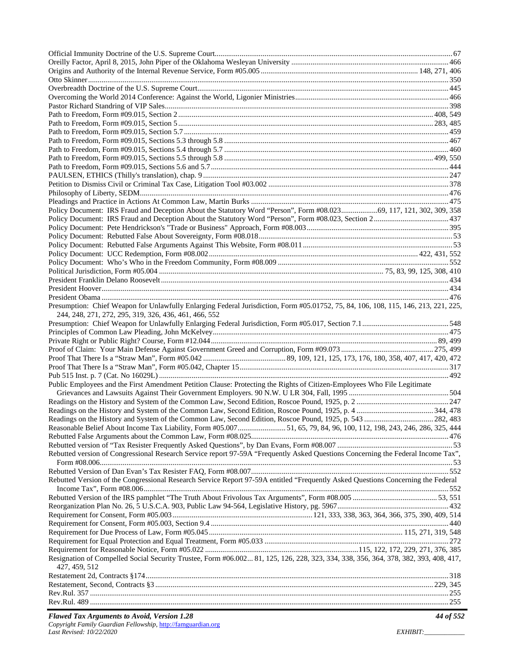| Policy Document: IRS Fraud and Deception About the Statutory Word "Person", Form #08.02369, 117, 121, 302, 309, 358                                                                          |  |
|----------------------------------------------------------------------------------------------------------------------------------------------------------------------------------------------|--|
|                                                                                                                                                                                              |  |
|                                                                                                                                                                                              |  |
|                                                                                                                                                                                              |  |
|                                                                                                                                                                                              |  |
|                                                                                                                                                                                              |  |
|                                                                                                                                                                                              |  |
|                                                                                                                                                                                              |  |
|                                                                                                                                                                                              |  |
|                                                                                                                                                                                              |  |
|                                                                                                                                                                                              |  |
| Presumption: Chief Weapon for Unlawfully Enlarging Federal Jurisdiction, Form #05.01752, 75, 84, 106, 108, 115, 146, 213, 221, 225,<br>244, 248, 271, 272, 295, 319, 326, 436, 461, 466, 552 |  |
|                                                                                                                                                                                              |  |
|                                                                                                                                                                                              |  |
|                                                                                                                                                                                              |  |
|                                                                                                                                                                                              |  |
|                                                                                                                                                                                              |  |
|                                                                                                                                                                                              |  |
|                                                                                                                                                                                              |  |
| Public Employees and the First Amendment Petition Clause: Protecting the Rights of Citizen-Employees Who File Legitimate                                                                     |  |
|                                                                                                                                                                                              |  |
|                                                                                                                                                                                              |  |
|                                                                                                                                                                                              |  |
|                                                                                                                                                                                              |  |
| Reasonable Belief About Income Tax Liability, Form #05.00751, 65, 79, 84, 96, 100, 112, 198, 243, 246, 286, 325, 444                                                                         |  |
|                                                                                                                                                                                              |  |
|                                                                                                                                                                                              |  |
| Rebutted version of Congressional Research Service report 97-59A "Frequently Asked Questions Concerning the Federal Income Tax",                                                             |  |
|                                                                                                                                                                                              |  |
|                                                                                                                                                                                              |  |
| Rebutted Version of the Congressional Research Service Report 97-59A entitled "Frequently Asked Questions Concerning the Federal                                                             |  |
|                                                                                                                                                                                              |  |
|                                                                                                                                                                                              |  |
|                                                                                                                                                                                              |  |
|                                                                                                                                                                                              |  |
|                                                                                                                                                                                              |  |
|                                                                                                                                                                                              |  |
|                                                                                                                                                                                              |  |
| Resignation of Compelled Social Security Trustee, Form #06.002 81, 125, 126, 228, 323, 334, 338, 356, 364, 378, 382, 393, 408, 417,<br>427, 459, 512                                         |  |
|                                                                                                                                                                                              |  |
|                                                                                                                                                                                              |  |
|                                                                                                                                                                                              |  |
|                                                                                                                                                                                              |  |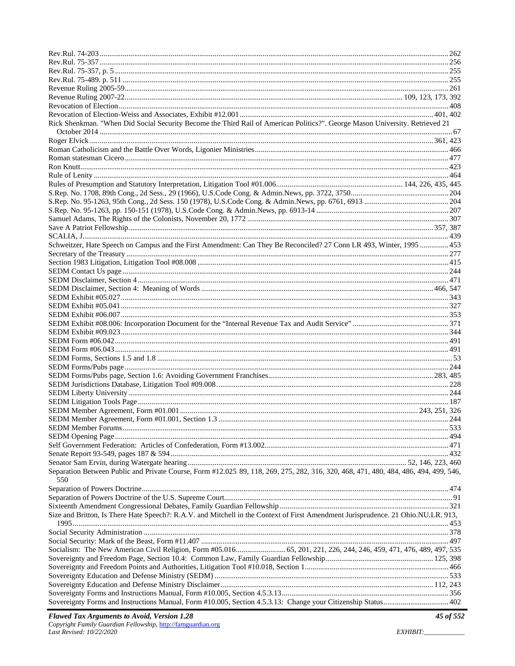| Rick Shenkman. "When Did Social Security Become the Third Rail of American Politics?". George Mason University. Retrieved 21                |  |
|---------------------------------------------------------------------------------------------------------------------------------------------|--|
|                                                                                                                                             |  |
|                                                                                                                                             |  |
|                                                                                                                                             |  |
|                                                                                                                                             |  |
|                                                                                                                                             |  |
|                                                                                                                                             |  |
|                                                                                                                                             |  |
|                                                                                                                                             |  |
|                                                                                                                                             |  |
|                                                                                                                                             |  |
|                                                                                                                                             |  |
|                                                                                                                                             |  |
| Schweitzer, Hate Speech on Campus and the First Amendment: Can They Be Reconciled? 27 Conn LR 493, Winter, 1995  453                        |  |
|                                                                                                                                             |  |
|                                                                                                                                             |  |
|                                                                                                                                             |  |
|                                                                                                                                             |  |
|                                                                                                                                             |  |
|                                                                                                                                             |  |
|                                                                                                                                             |  |
|                                                                                                                                             |  |
|                                                                                                                                             |  |
|                                                                                                                                             |  |
|                                                                                                                                             |  |
|                                                                                                                                             |  |
|                                                                                                                                             |  |
|                                                                                                                                             |  |
|                                                                                                                                             |  |
|                                                                                                                                             |  |
|                                                                                                                                             |  |
|                                                                                                                                             |  |
|                                                                                                                                             |  |
|                                                                                                                                             |  |
|                                                                                                                                             |  |
|                                                                                                                                             |  |
|                                                                                                                                             |  |
|                                                                                                                                             |  |
|                                                                                                                                             |  |
| Separation Between Public and Private Course, Form #12.025 89, 118, 269, 275, 282, 316, 320, 468, 471, 480, 484, 486, 494, 499, 546,<br>550 |  |
|                                                                                                                                             |  |
|                                                                                                                                             |  |
|                                                                                                                                             |  |
| Size and Britton, Is There Hate Speech?: R.A.V. and Mitchell in the Context of First Amendment Jurisprudence. 21 Ohio.NU.LR. 913,           |  |
|                                                                                                                                             |  |
|                                                                                                                                             |  |
|                                                                                                                                             |  |
|                                                                                                                                             |  |
|                                                                                                                                             |  |
|                                                                                                                                             |  |
|                                                                                                                                             |  |
|                                                                                                                                             |  |
| Sovereignty Forms and Instructions Manual, Form #10.005, Section 4.5.3.13: Change your Citizenship Status 402                               |  |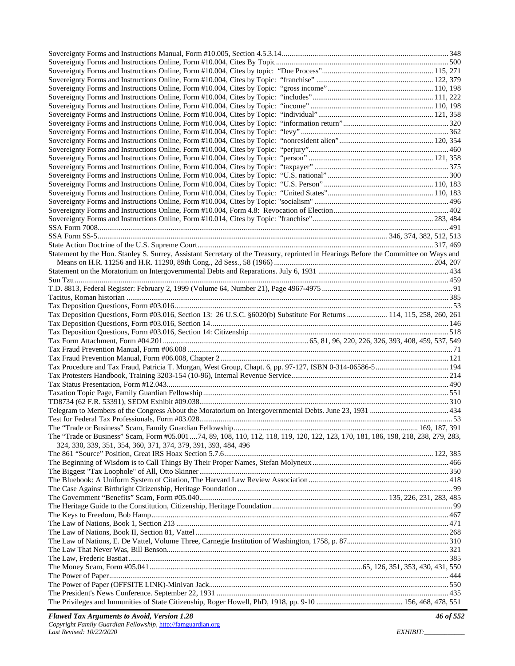| Statement by the Hon. Stanley S. Surrey, Assistant Secretary of the Treasury, reprinted in Hearings Before the Committee on Ways and |  |
|--------------------------------------------------------------------------------------------------------------------------------------|--|
|                                                                                                                                      |  |
|                                                                                                                                      |  |
|                                                                                                                                      |  |
|                                                                                                                                      |  |
|                                                                                                                                      |  |
|                                                                                                                                      |  |
| Tax Deposition Questions, Form #03.016, Section 13: 26 U.S.C. §6020(b) Substitute For Returns  114, 115, 258, 260, 261               |  |
|                                                                                                                                      |  |
|                                                                                                                                      |  |
|                                                                                                                                      |  |
|                                                                                                                                      |  |
|                                                                                                                                      |  |
|                                                                                                                                      |  |
|                                                                                                                                      |  |
|                                                                                                                                      |  |
|                                                                                                                                      |  |
|                                                                                                                                      |  |
|                                                                                                                                      |  |
|                                                                                                                                      |  |
|                                                                                                                                      |  |
|                                                                                                                                      |  |
| The "Trade or Business" Scam, Form #05.001 74, 89, 108, 110, 112, 118, 119, 120, 122, 123, 170, 181, 186, 198, 218, 238, 279, 283,   |  |
| 324, 330, 339, 351, 354, 360, 371, 374, 379, 391, 393, 484, 496                                                                      |  |
|                                                                                                                                      |  |
|                                                                                                                                      |  |
|                                                                                                                                      |  |
|                                                                                                                                      |  |
|                                                                                                                                      |  |
|                                                                                                                                      |  |
|                                                                                                                                      |  |
|                                                                                                                                      |  |
|                                                                                                                                      |  |
|                                                                                                                                      |  |
|                                                                                                                                      |  |
|                                                                                                                                      |  |
|                                                                                                                                      |  |
|                                                                                                                                      |  |
|                                                                                                                                      |  |
|                                                                                                                                      |  |
|                                                                                                                                      |  |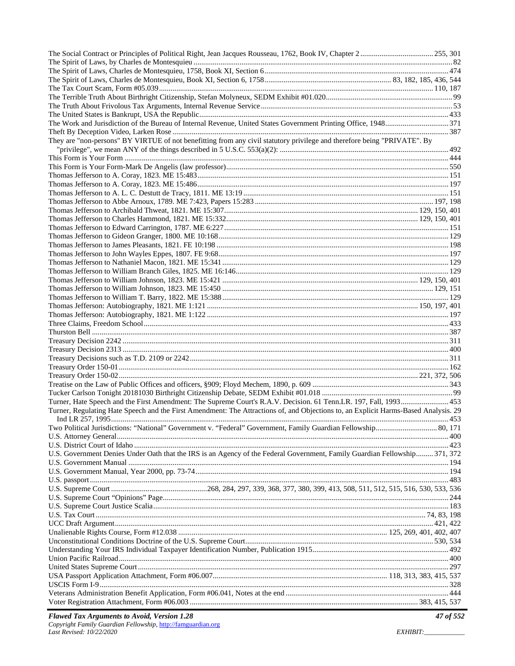| They are "non-persons" BY VIRTUE of not benefitting from any civil statutory privilege and therefore being "PRIVATE". By                                                                                                                                 |  |
|----------------------------------------------------------------------------------------------------------------------------------------------------------------------------------------------------------------------------------------------------------|--|
|                                                                                                                                                                                                                                                          |  |
|                                                                                                                                                                                                                                                          |  |
|                                                                                                                                                                                                                                                          |  |
|                                                                                                                                                                                                                                                          |  |
|                                                                                                                                                                                                                                                          |  |
|                                                                                                                                                                                                                                                          |  |
|                                                                                                                                                                                                                                                          |  |
|                                                                                                                                                                                                                                                          |  |
|                                                                                                                                                                                                                                                          |  |
|                                                                                                                                                                                                                                                          |  |
|                                                                                                                                                                                                                                                          |  |
|                                                                                                                                                                                                                                                          |  |
|                                                                                                                                                                                                                                                          |  |
|                                                                                                                                                                                                                                                          |  |
|                                                                                                                                                                                                                                                          |  |
|                                                                                                                                                                                                                                                          |  |
|                                                                                                                                                                                                                                                          |  |
|                                                                                                                                                                                                                                                          |  |
|                                                                                                                                                                                                                                                          |  |
|                                                                                                                                                                                                                                                          |  |
|                                                                                                                                                                                                                                                          |  |
|                                                                                                                                                                                                                                                          |  |
|                                                                                                                                                                                                                                                          |  |
|                                                                                                                                                                                                                                                          |  |
|                                                                                                                                                                                                                                                          |  |
|                                                                                                                                                                                                                                                          |  |
|                                                                                                                                                                                                                                                          |  |
|                                                                                                                                                                                                                                                          |  |
| Turner, Hate Speech and the First Amendment: The Supreme Court's R.A.V. Decision. 61 Tenn.LR. 197, Fall, 1993 453<br>Turner, Regulating Hate Speech and the First Amendment: The Attractions of, and Objections to, an Explicit Harms-Based Analysis. 29 |  |
|                                                                                                                                                                                                                                                          |  |
| Two Political Jurisdictions: "National" Government v. "Federal" Government, Family Guardian Fellowship 80, 171                                                                                                                                           |  |
|                                                                                                                                                                                                                                                          |  |
|                                                                                                                                                                                                                                                          |  |
| U.S. Government Denies Under Oath that the IRS is an Agency of the Federal Government, Family Guardian Fellowship 371, 372                                                                                                                               |  |
|                                                                                                                                                                                                                                                          |  |
|                                                                                                                                                                                                                                                          |  |
|                                                                                                                                                                                                                                                          |  |
|                                                                                                                                                                                                                                                          |  |
|                                                                                                                                                                                                                                                          |  |
|                                                                                                                                                                                                                                                          |  |
|                                                                                                                                                                                                                                                          |  |
|                                                                                                                                                                                                                                                          |  |
|                                                                                                                                                                                                                                                          |  |
|                                                                                                                                                                                                                                                          |  |
|                                                                                                                                                                                                                                                          |  |
|                                                                                                                                                                                                                                                          |  |
|                                                                                                                                                                                                                                                          |  |
|                                                                                                                                                                                                                                                          |  |
|                                                                                                                                                                                                                                                          |  |
|                                                                                                                                                                                                                                                          |  |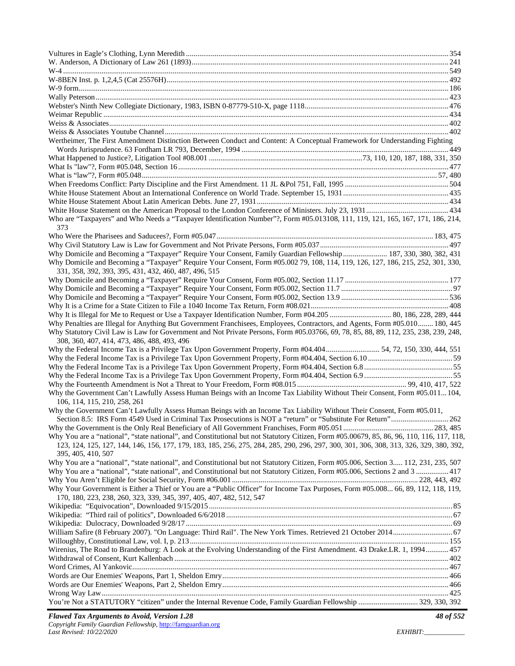| Wertheimer, The First Amendment Distinction Between Conduct and Content: A Conceptual Framework for Understanding Fighting                |  |
|-------------------------------------------------------------------------------------------------------------------------------------------|--|
|                                                                                                                                           |  |
|                                                                                                                                           |  |
|                                                                                                                                           |  |
|                                                                                                                                           |  |
|                                                                                                                                           |  |
|                                                                                                                                           |  |
|                                                                                                                                           |  |
|                                                                                                                                           |  |
| Who are "Taxpayers" and Who Needs a "Taxpayer Identification Number"?, Form #05.013108, 111, 119, 121, 165, 167, 171, 186, 214,           |  |
| 373                                                                                                                                       |  |
|                                                                                                                                           |  |
|                                                                                                                                           |  |
| Why Domicile and Becoming a "Taxpayer" Require Your Consent, Family Guardian Fellowship  187, 330, 380, 382, 431                          |  |
| Why Domicile and Becoming a "Taxpayer" Require Your Consent, Form #05.002 79, 108, 114, 119, 126, 127, 186, 215, 252, 301, 330,           |  |
| 331, 358, 392, 393, 395, 431, 432, 460, 487, 496, 515                                                                                     |  |
|                                                                                                                                           |  |
|                                                                                                                                           |  |
|                                                                                                                                           |  |
|                                                                                                                                           |  |
|                                                                                                                                           |  |
| Why Penalties are Illegal for Anything But Government Franchisees, Employees, Contractors, and Agents, Form #05.010 180, 445              |  |
| Why Statutory Civil Law is Law for Government and Not Private Persons, Form #05.03766, 69, 78, 85, 88, 89, 112, 235, 238, 239, 248,       |  |
| 308, 360, 407, 414, 473, 486, 488, 493, 496                                                                                               |  |
| Why the Federal Income Tax is a Privilege Tax Upon Government Property, Form #04.40454, 72, 150, 330, 444, 551                            |  |
|                                                                                                                                           |  |
|                                                                                                                                           |  |
|                                                                                                                                           |  |
| Why the Government Can't Lawfully Assess Human Beings with an Income Tax Liability Without Their Consent, Form #05.011104,                |  |
| 106, 114, 115, 210, 258, 261                                                                                                              |  |
| Why the Government Can't Lawfully Assess Human Beings with an Income Tax Liability Without Their Consent, Form #05.011,                   |  |
|                                                                                                                                           |  |
|                                                                                                                                           |  |
| Why You are a "national", "state national", and Constitutional but not Statutory Citizen, Form #05.00679, 85, 86, 96, 110, 116, 117, 118, |  |
| 123, 124, 125, 127, 144, 146, 156, 177, 179, 183, 185, 256, 275, 284, 285, 290, 296, 297, 300, 301, 306, 308, 313, 326, 329, 380, 392,    |  |
| 395, 405, 410, 507                                                                                                                        |  |
| Why You are a "national", "state national", and Constitutional but not Statutory Citizen, Form #05.006, Section 3 112, 231, 235, 507      |  |
| Why You are a "national", "state national", and Constitutional but not Statutory Citizen, Form #05.006, Sections 2 and 3  417             |  |
|                                                                                                                                           |  |
| Why Your Government is Either a Thief or You are a "Public Officer" for Income Tax Purposes, Form #05.008 66, 89, 112, 118, 119,          |  |
| 170, 180, 223, 238, 260, 323, 339, 345, 397, 405, 407, 482, 512, 547                                                                      |  |
|                                                                                                                                           |  |
|                                                                                                                                           |  |
|                                                                                                                                           |  |
| William Safire (8 February 2007). "On Language: Third Rail". The New York Times. Retrieved 21 October 2014 67                             |  |
|                                                                                                                                           |  |
| Wirenius, The Road to Brandenburg: A Look at the Evolving Understanding of the First Amendment. 43 Drake.LR. 1, 1994 457                  |  |
|                                                                                                                                           |  |
|                                                                                                                                           |  |
|                                                                                                                                           |  |
|                                                                                                                                           |  |
| You're Not a STATUTORY "citizen" under the Internal Revenue Code, Family Guardian Fellowship  329, 330, 392                               |  |
|                                                                                                                                           |  |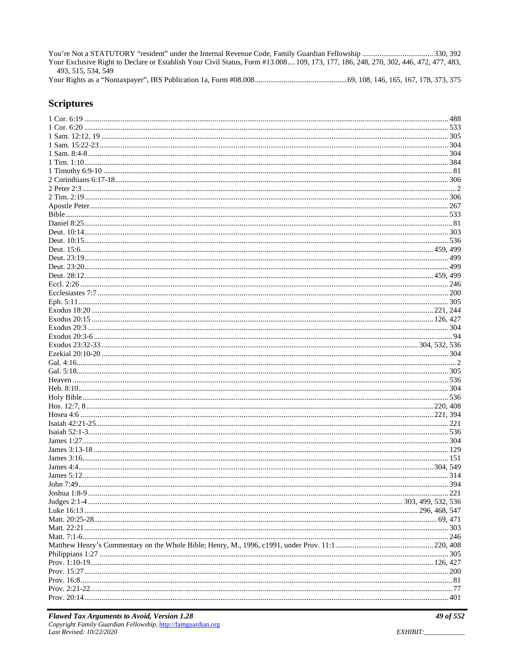Your Exclusive Right to Declare or Establish Your Civil Status, Form #13.008.... 109, 173, 177, 186, 248, 270, 302, 446, 472, 477, 483, 493, 515, 534, 549 

#### **Scriptures**

| 499 |
|-----|
|     |
|     |
|     |
|     |
|     |
|     |
|     |
|     |
|     |
|     |
|     |
|     |
|     |
|     |
|     |
|     |
|     |
|     |
|     |
|     |
|     |
|     |
|     |
|     |
|     |
|     |
|     |
|     |
|     |
|     |
|     |
|     |
|     |
|     |
|     |
|     |
|     |
|     |
|     |
|     |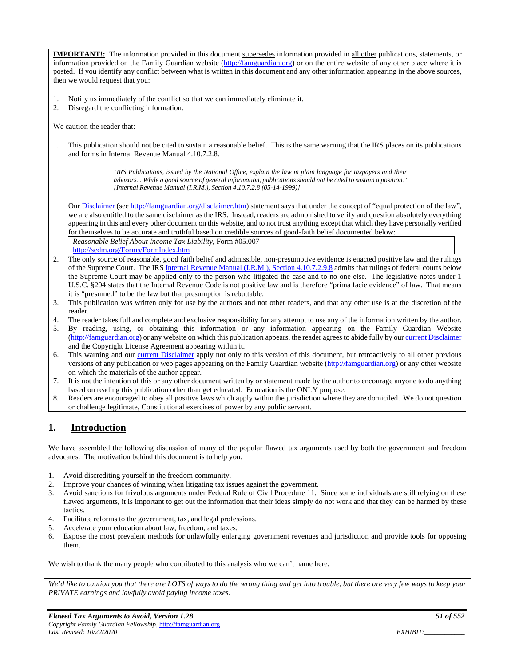**IMPORTANT!:** The information provided in this document supersedes information provided in all other publications, statements, or information provided on the Family Guardian website (http://famguardian.org) or on the entire website of any other place where it is posted. If you identify any conflict between what is written in this document and any other information appearing in the above sources, then we would request that you:

- 1. Notify us immediately of the conflict so that we can immediately eliminate it.
- 2. Disregard the conflicting information.

We caution the reader that:

1. This publication should not be cited to sustain a reasonable belief. This is the same warning that the IRS places on its publications and forms in Internal Revenue Manual 4.10.7.2.8.

> *"IRS Publications, issued by the National Office, explain the law in plain language for taxpayers and their advisors... While a good source of general information, publications should not be cited to sustain a position." [Internal Revenue Manual (I.R.M.), Section 4.10.7.2.8 (05-14-1999)]*

Our Disclaimer (see http://famguardian.org/disclaimer.htm) statement says that under the concept of "equal protection of the law", we are also entitled to the same disclaimer as the IRS. Instead, readers are admonished to verify and question absolutely everything appearing in this and every other document on this website, and to not trust anything except that which they have personally verified for themselves to be accurate and truthful based on credible sources of good-faith belief documented below:

*Reasonable Belief About Income Tax Liability*, Form #05.007 http://sedm.org/Forms/FormIndex.htm

- 2. The only source of reasonable, good faith belief and admissible, non-presumptive evidence is enacted positive law and the rulings of the Supreme Court. The IRS Internal Revenue Manual (I.R.M.), Section 4.10.7.2.9.8 admits that rulings of federal courts below the Supreme Court may be applied only to the person who litigated the case and to no one else. The legislative notes under 1 U.S.C. §204 states that the Internal Revenue Code is not positive law and is therefore "prima facie evidence" of law. That means it is "presumed" to be the law but that presumption is rebuttable.
- 3. This publication was written only for use by the authors and not other readers, and that any other use is at the discretion of the reader.
- 4. The reader takes full and complete and exclusive responsibility for any attempt to use any of the information written by the author.
- 5. By reading, using, or obtaining this information or any information appearing on the Family Guardian Website (http://famguardian.org) or any website on which this publication appears, the reader agrees to abide fully by our current Disclaimer and the Copyright License Agreement appearing within it.
- 6. This warning and our current Disclaimer apply not only to this version of this document, but retroactively to all other previous versions of any publication or web pages appearing on the Family Guardian website (http://famguardian.org) or any other website on which the materials of the author appear.
- 7. It is not the intention of this or any other document written by or statement made by the author to encourage anyone to do anything based on reading this publication other than get educated. Education is the ONLY purpose.
- 8. Readers are encouraged to obey all positive laws which apply within the jurisdiction where they are domiciled. We do not question or challenge legitimate, Constitutional exercises of power by any public servant.

## **1. Introduction**

We have assembled the following discussion of many of the popular flawed tax arguments used by both the government and freedom advocates. The motivation behind this document is to help you:

- 1. Avoid discrediting yourself in the freedom community.
- 2. Improve your chances of winning when litigating tax issues against the government.
- 3. Avoid sanctions for frivolous arguments under Federal Rule of Civil Procedure 11. Since some individuals are still relying on these flawed arguments, it is important to get out the information that their ideas simply do not work and that they can be harmed by these tactics.
- 4. Facilitate reforms to the government, tax, and legal professions.
- 5. Accelerate your education about law, freedom, and taxes.
- 6. Expose the most prevalent methods for unlawfully enlarging government revenues and jurisdiction and provide tools for opposing them.

We wish to thank the many people who contributed to this analysis who we can't name here.

We'd like to caution you that there are LOTS of ways to do the wrong thing and get into trouble, but there are very few ways to keep your *PRIVATE earnings and lawfully avoid paying income taxes.*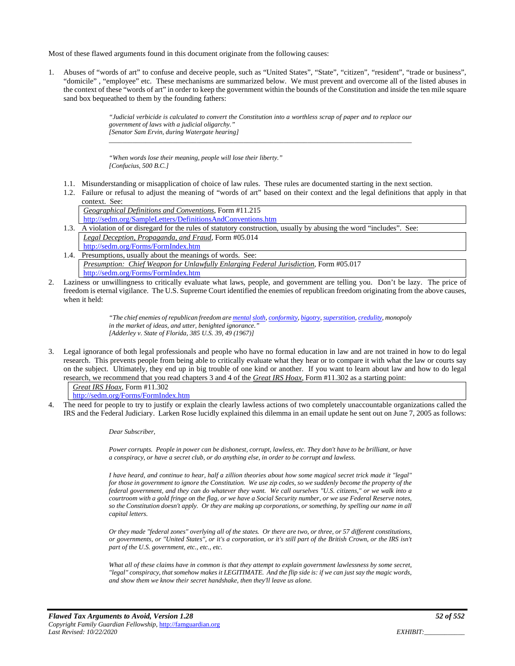Most of these flawed arguments found in this document originate from the following causes:

1. Abuses of "words of art" to confuse and deceive people, such as "United States", "State", "citizen", "resident", "trade or business", "domicile" , "employee" etc. These mechanisms are summarized below. We must prevent and overcome all of the listed abuses in the context of these "words of art" in order to keep the government within the bounds of the Constitution and inside the ten mile square sand box bequeathed to them by the founding fathers:

> *"Judicial verbicide is calculated to convert the Constitution into a worthless scrap of paper and to replace our government of laws with a judicial oligarchy." [Senator Sam Ervin, during Watergate hearing] \_\_\_\_\_\_\_\_\_\_\_\_\_\_\_\_\_\_\_\_\_\_\_\_\_\_\_\_\_\_\_\_\_\_\_\_\_\_\_\_\_\_\_\_\_\_\_\_\_\_\_\_\_\_\_\_\_\_\_\_\_\_\_\_\_\_\_\_\_\_\_\_\_\_\_\_\_\_\_\_\_\_\_\_\_\_\_\_\_\_*

*"When words lose their meaning, people will lose their liberty." [Confucius, 500 B.C.]* 

- 1.1. Misunderstanding or misapplication of choice of law rules. These rules are documented starting in the next section.
- 1.2. Failure or refusal to adjust the meaning of "words of art" based on their context and the legal definitions that apply in that context. See:

*Geographical Definitions and Conventions*, Form #11.215 http://sedm.org/SampleLetters/DefinitionsAndConventions.htm

- 1.3. A violation of or disregard for the rules of statutory construction, usually by abusing the word "includes". See: *Legal Deception, Propaganda, and Fraud*, Form #05.014 http://sedm.org/Forms/FormIndex.htm
- 1.4. Presumptions, usually about the meanings of words. See: *Presumption: Chief Weapon for Unlawfully Enlarging Federal Jurisdiction*, Form #05.017 http://sedm.org/Forms/FormIndex.htm
- 2. Laziness or unwillingness to critically evaluate what laws, people, and government are telling you. Don't be lazy. The price of freedom is eternal vigilance. The U.S. Supreme Court identified the enemies of republican freedom originating from the above causes, when it held:

*"The chief enemies of republican freedom are mental sloth, conformity, bigotry, superstition, credulity, monopoly in the market of ideas, and utter, benighted ignorance." [Adderley v. State of Florida, 385 U.S. 39, 49 (1967)]* 

3. Legal ignorance of both legal professionals and people who have no formal education in law and are not trained in how to do legal research. This prevents people from being able to critically evaluate what they hear or to compare it with what the law or courts say on the subject. Ultimately, they end up in big trouble of one kind or another. If you want to learn about law and how to do legal research, we recommend that you read chapters 3 and 4 of the *Great IRS Hoax*, Form #11.302 as a starting point:

*Great IRS Hoax*, Form #11.302

http://sedm.org/Forms/FormIndex.htm

4. The need for people to try to justify or explain the clearly lawless actions of two completely unaccountable organizations called the IRS and the Federal Judiciary. Larken Rose lucidly explained this dilemma in an email update he sent out on June 7, 2005 as follows:

*Dear Subscriber,* 

*Power corrupts. People in power can be dishonest, corrupt, lawless, etc. They don't have to be brilliant, or have a conspiracy, or have a secret club, or do anything else, in order to be corrupt and lawless.* 

*I have heard, and continue to hear, half a zillion theories about how some magical secret trick made it "legal" for those in government to ignore the Constitution. We use zip codes, so we suddenly become the property of the federal government, and they can do whatever they want. We call ourselves "U.S. citizens," or we walk into a courtroom with a gold fringe on the flag, or we have a Social Security number, or we use Federal Reserve notes, so the Constitution doesn't apply. Or they are making up corporations, or something, by spelling our name in all capital letters.* 

*Or they made "federal zones" overlying all of the states. Or there are two, or three, or 57 different constitutions, or governments, or "United States", or it's a corporation, or it's still part of the British Crown, or the IRS isn't part of the U.S. government, etc., etc., etc.* 

*What all of these claims have in common is that they attempt to explain government lawlessness by some secret, "legal" conspiracy, that somehow makes it LEGITIMATE. And the flip side is: if we can just say the magic words, and show them we know their secret handshake, then they'll leave us alone.*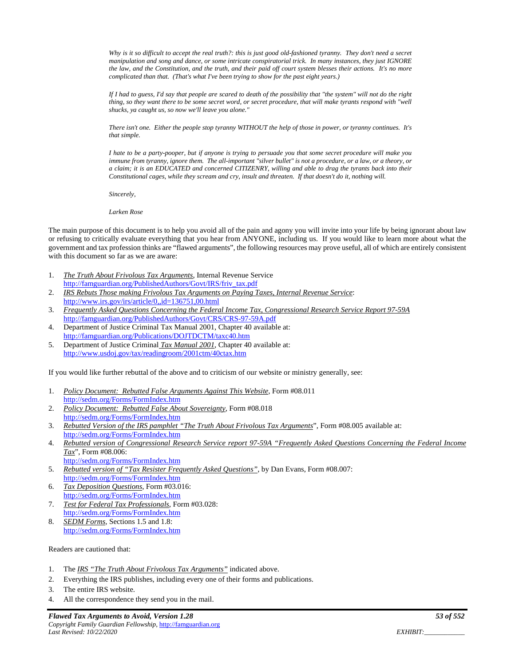*Why is it so difficult to accept the real truth?: this is just good old-fashioned tyranny. They don't need a secret manipulation and song and dance, or some intricate conspiratorial trick. In many instances, they just IGNORE the law, and the Constitution, and the truth, and their paid off court system blesses their actions. It's no more complicated than that. (That's what I've been trying to show for the past eight years.)* 

*If I had to guess, I'd say that people are scared to death of the possibility that "the system" will not do the right thing, so they want there to be some secret word, or secret procedure, that will make tyrants respond with "well shucks, ya caught us, so now we'll leave you alone."* 

*There isn't one. Either the people stop tyranny WITHOUT the help of those in power, or tyranny continues. It's that simple.* 

*I hate to be a party-pooper, but if anyone is trying to persuade you that some secret procedure will make you immune from tyranny, ignore them. The all-important "silver bullet" is not a procedure, or a law, or a theory, or a claim; it is an EDUCATED and concerned CITIZENRY, willing and able to drag the tyrants back into their Constitutional cages, while they scream and cry, insult and threaten. If that doesn't do it, nothing will.* 

*Sincerely,* 

*Larken Rose* 

The main purpose of this document is to help you avoid all of the pain and agony you will invite into your life by being ignorant about law or refusing to critically evaluate everything that you hear from ANYONE, including us. If you would like to learn more about what the government and tax profession thinks are "flawed arguments", the following resources may prove useful, all of which are entirely consistent with this document so far as we are aware:

- 1. *The Truth About Frivolous Tax Arguments*, Internal Revenue Service http://famguardian.org/PublishedAuthors/Govt/IRS/friv\_tax.pdf
- 2. *IRS Rebuts Those making Frivolous Tax Arguments on Paying Taxes, Internal Revenue Service*: http://www.irs.gov/irs/article/0,,id=136751,00.html
- 3. *Frequently Asked Questions Concerning the Federal Income Tax, Congressional Research Service Report 97-59A* http://famguardian.org/PublishedAuthors/Govt/CRS/CRS-97-59A.pdf
- 4. Department of Justice Criminal Tax Manual 2001, Chapter 40 available at: http://famguardian.org/Publications/DOJTDCTM/taxc40.htm
- 5. Department of Justice Criminal *Tax Manual 2001*, Chapter 40 available at: http://www.usdoj.gov/tax/readingroom/2001ctm/40ctax.htm

If you would like further rebuttal of the above and to criticism of our website or ministry generally, see:

- 1. *Policy Document: Rebutted False Arguments Against This Website*, Form #08.011 http://sedm.org/Forms/FormIndex.htm
- 2. *Policy Document: Rebutted False About Sovereignty*, Form #08.018 http://sedm.org/Forms/FormIndex.htm
- 3. *Rebutted Version of the IRS pamphlet "The Truth About Frivolous Tax Arguments*", Form #08.005 available at: http://sedm.org/Forms/FormIndex.htm
- 4. *Rebutted version of Congressional Research Service report 97-59A "Frequently Asked Questions Concerning the Federal Income Tax*", Form #08.006: http://sedm.org/Forms/FormIndex.htm
- 5. *Rebutted version of "Tax Resister Frequently Asked Questions"*, by Dan Evans, Form #08.007: http://sedm.org/Forms/FormIndex.htm
- 6. *Tax Deposition Questions*, Form #03.016: http://sedm.org/Forms/FormIndex.htm
- 7. *Test for Federal Tax Professionals*, Form #03.028: http://sedm.org/Forms/FormIndex.htm
- 8. *SEDM Forms*, Sections 1.5 and 1.8: http://sedm.org/Forms/FormIndex.htm

Readers are cautioned that:

- 1. The *IRS "The Truth About Frivolous Tax Arguments"* indicated above.
- 2. Everything the IRS publishes, including every one of their forms and publications.
- 3. The entire IRS website.
- 4. All the correspondence they send you in the mail.